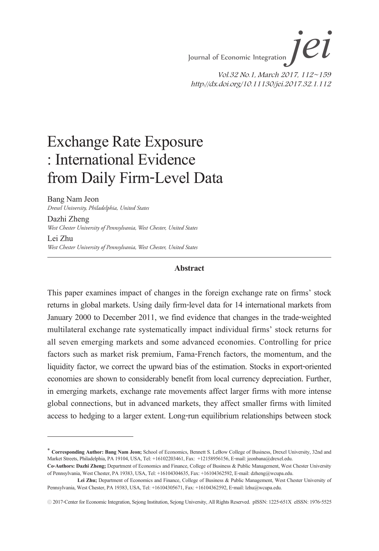*Journal of Economic Integration jeii*  $\overrightarrow{el}$ Vol.32 No.1, March 2017, 112~159 http://dx.doi.org/10.11130/jei.2017.32.1.112

# Exchange Rate Exposure : International Evidence from Daily Firm-Level Data

Bang Nam Jeon

Dazhi Zheng

*Drexel University, Philadelphia, United States*

*West Chester University of Pennsylvania, West Chester, United States* Lei Zhu *West Chester University of Pennsylvania, West Chester, United States*

#### **Abstract**

This paper examines impact of changes in the foreign exchange rate on firms' stock returns in global markets. Using daily firm-level data for 14 international markets from January 2000 to December 2011, we find evidence that changes in the trade-weighted multilateral exchange rate systematically impact individual firms' stock returns for all seven emerging markets and some advanced economies. Controlling for price factors such as market risk premium, Fama-French factors, the momentum, and the liquidity factor, we correct the upward bias of the estimation. Stocks in export-oriented economies are shown to considerably benefit from local currency depreciation. Further, in emerging markets, exchange rate movements affect larger firms with more intense global connections, but in advanced markets, they affect smaller firms with limited access to hedging to a larger extent. Long-run equilibrium relationships between stock

<sup>∗</sup> **Corresponding Author: Bang Nam Jeon;** School of Economics, Bennett S. LeBow College of Business, Drexel University, 32nd and Market Streets, Philadelphia, PA 19104, USA, Tel: +16102203461, Fax: +12158956156, E-mail: jeonbana@drexel.edu.

**Co-Authors: Dazhi Zheng;** Department of Economics and Finance, College of Business & Public Management, West Chester University of Pennsylvania, West Chester, PA 19383, USA, Tel: +16104304635, Fax: +16104362592, E-mail: dzheng@wcupa.edu.

Lei Zhu; Department of Economics and Finance, College of Business & Public Management, West Chester University of Pennsylvania, West Chester, PA 19383, USA, Tel: +16104305671, Fax: +16104362592, E-mail: lzhu@wcupa.edu.

<sup>ⓒ</sup> 2017-Center for Economic Integration, Sejong Institution, Sejong University, All Rights Reserved. pISSN: 1225-651X eISSN: 1976-5525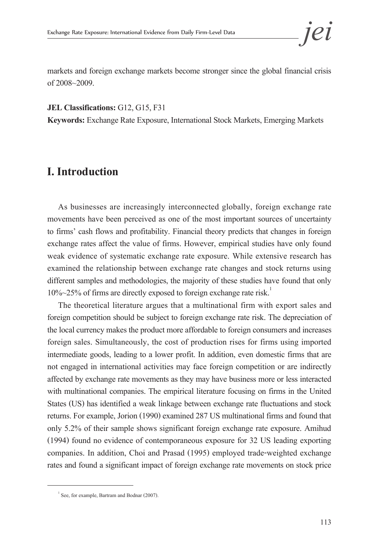markets and foreign exchange markets become stronger since the global financial crisis of 2008~2009.

#### **JEL Classifications:** G12, G15, F31

**Keywords:** Exchange Rate Exposure, International Stock Markets, Emerging Markets

# **I. Introduction**

As businesses are increasingly interconnected globally, foreign exchange rate movements have been perceived as one of the most important sources of uncertainty to firms' cash flows and profitability. Financial theory predicts that changes in foreign exchange rates affect the value of firms. However, empirical studies have only found weak evidence of systematic exchange rate exposure. While extensive research has examined the relationship between exchange rate changes and stock returns using different samples and methodologies, the majority of these studies have found that only  $10\%~25\%$  of firms are directly exposed to foreign exchange rate risk.<sup>1</sup>

The theoretical literature argues that a multinational firm with export sales and foreign competition should be subject to foreign exchange rate risk. The depreciation of the local currency makes the product more affordable to foreign consumers and increases foreign sales. Simultaneously, the cost of production rises for firms using imported intermediate goods, leading to a lower profit. In addition, even domestic firms that are not engaged in international activities may face foreign competition or are indirectly affected by exchange rate movements as they may have business more or less interacted with multinational companies. The empirical literature focusing on firms in the United States (US) has identified a weak linkage between exchange rate fluctuations and stock returns. For example, Jorion (1990) examined 287 US multinational firms and found that only 5.2% of their sample shows significant foreign exchange rate exposure. Amihud (1994) found no evidence of contemporaneous exposure for 32 US leading exporting companies. In addition, Choi and Prasad (1995) employed trade-weighted exchange rates and found a significant impact of foreign exchange rate movements on stock price

<sup>&</sup>lt;sup>1</sup> See, for example, Bartram and Bodnar (2007).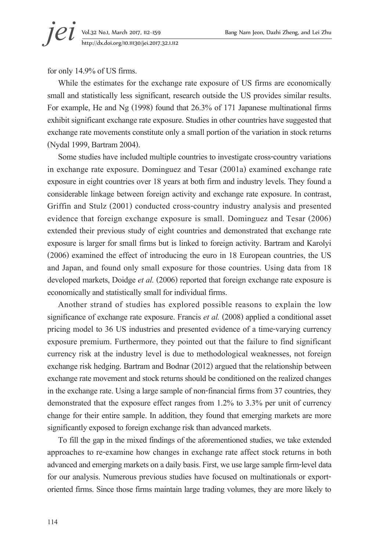for only 14.9% of US firms.

While the estimates for the exchange rate exposure of US firms are economically small and statistically less significant, research outside the US provides similar results. For example, He and Ng (1998) found that 26.3% of 171 Japanese multinational firms exhibit significant exchange rate exposure. Studies in other countries have suggested that exchange rate movements constitute only a small portion of the variation in stock returns (Nydal 1999, Bartram 2004).

Some studies have included multiple countries to investigate cross-country variations in exchange rate exposure. Dominguez and Tesar (2001a) examined exchange rate exposure in eight countries over 18 years at both firm and industry levels. They found a considerable linkage between foreign activity and exchange rate exposure. In contrast, Griffin and Stulz (2001) conducted cross-country industry analysis and presented evidence that foreign exchange exposure is small. Dominguez and Tesar (2006) extended their previous study of eight countries and demonstrated that exchange rate exposure is larger for small firms but is linked to foreign activity. Bartram and Karolyi (2006) examined the effect of introducing the euro in 18 European countries, the US and Japan, and found only small exposure for those countries. Using data from 18 developed markets, Doidge *et al.* (2006) reported that foreign exchange rate exposure is economically and statistically small for individual firms.

Another strand of studies has explored possible reasons to explain the low significance of exchange rate exposure. Francis *et al.* (2008) applied a conditional asset pricing model to 36 US industries and presented evidence of a time-varying currency exposure premium. Furthermore, they pointed out that the failure to find significant currency risk at the industry level is due to methodological weaknesses, not foreign exchange risk hedging. Bartram and Bodnar (2012) argued that the relationship between exchange rate movement and stock returns should be conditioned on the realized changes in the exchange rate. Using a large sample of non-financial firms from 37 countries, they demonstrated that the exposure effect ranges from 1.2% to 3.3% per unit of currency change for their entire sample. In addition, they found that emerging markets are more significantly exposed to foreign exchange risk than advanced markets.

To fill the gap in the mixed findings of the aforementioned studies, we take extended approaches to re-examine how changes in exchange rate affect stock returns in both advanced and emerging markets on a daily basis. First, we use large sample firm-level data for our analysis. Numerous previous studies have focused on multinationals or exportoriented firms. Since those firms maintain large trading volumes, they are more likely to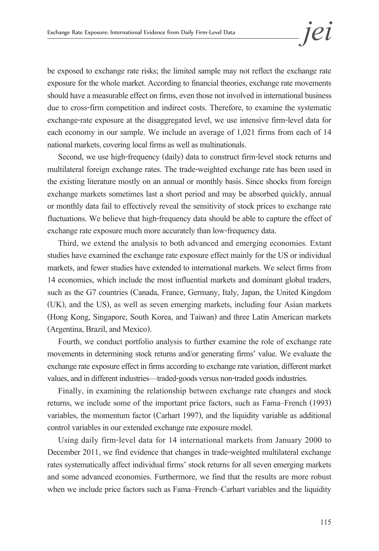be exposed to exchange rate risks; the limited sample may not reflect the exchange rate exposure for the whole market. According to financial theories, exchange rate movements should have a measurable effect on firms, even those not involved in international business due to cross-firm competition and indirect costs. Therefore, to examine the systematic exchange-rate exposure at the disaggregated level, we use intensive firm-level data for each economy in our sample. We include an average of 1,021 firms from each of 14 national markets, covering local firms as well as multinationals.

Second, we use high-frequency (daily) data to construct firm-level stock returns and multilateral foreign exchange rates. The trade-weighted exchange rate has been used in the existing literature mostly on an annual or monthly basis. Since shocks from foreign exchange markets sometimes last a short period and may be absorbed quickly, annual or monthly data fail to effectively reveal the sensitivity of stock prices to exchange rate fluctuations. We believe that high-frequency data should be able to capture the effect of exchange rate exposure much more accurately than low-frequency data.

Third, we extend the analysis to both advanced and emerging economies. Extant studies have examined the exchange rate exposure effect mainly for the US or individual markets, and fewer studies have extended to international markets. We select firms from 14 economies, which include the most influential markets and dominant global traders, such as the G7 countries (Canada, France, Germany, Italy, Japan, the United Kingdom (UK), and the US), as well as seven emerging markets, including four Asian markets (Hong Kong, Singapore, South Korea, and Taiwan) and three Latin American markets (Argentina, Brazil, and Mexico).

Fourth, we conduct portfolio analysis to further examine the role of exchange rate movements in determining stock returns and/or generating firms' value. We evaluate the exchange rate exposure effect in firms according to exchange rate variation, different market values, and in different industries—traded-goods versus non-traded goods industries.

Finally, in examining the relationship between exchange rate changes and stock returns, we include some of the important price factors, such as Fama–French (1993) variables, the momentum factor (Carhart 1997), and the liquidity variable as additional control variables in our extended exchange rate exposure model.

Using daily firm-level data for 14 international markets from January 2000 to December 2011, we find evidence that changes in trade-weighted multilateral exchange rates systematically affect individual firms' stock returns for all seven emerging markets and some advanced economies. Furthermore, we find that the results are more robust when we include price factors such as Fama–French–Carhart variables and the liquidity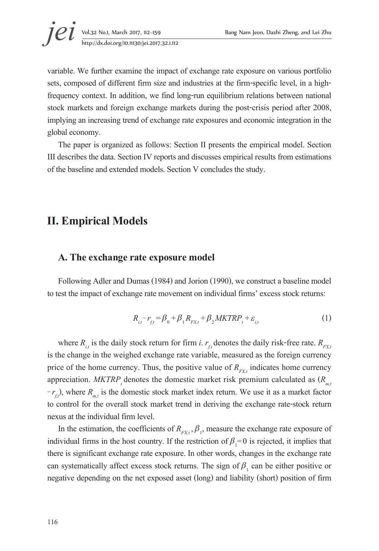variable. We further examine the impact of exchange rate exposure on various portfolio sets, composed of different firm size and industries at the firm-specific level, in a highfrequency context. In addition, we find long-run equilibrium relations between national stock markets and foreign exchange markets during the post-crisis period after 2008, implying an increasing trend of exchange rate exposures and economic integration in the global economy.

The paper is organized as follows: Section II presents the empirical model. Section III describes the data. Section IV reports and discusses empirical results from estimations of the baseline and extended models. Section V concludes the study.

# **II. Empirical Models**

### **A. The exchange rate exposure model**

Following Adler and Dumas (1984) and Jorion (1990), we construct a baseline model to test the impact of exchange rate movement on individual firms' excess stock returns:

$$
R_{i,t} - r_{f,t} = \beta_0 + \beta_1 R_{FX,t} + \beta_2 MKTRP_t + \varepsilon_{i,t}
$$
 (1)

where  $R_{i,t}$  is the daily stock return for firm *i*.  $r_{tt}$  denotes the daily risk-free rate.  $R_{F X t}$ is the change in the weighed exchange rate variable, measured as the foreign currency price of the home currency. Thus, the positive value of  $R_{\mu\nu}$  indicates home currency appreciation. *MKTRP<sub>t</sub>* denotes the domestic market risk premium calculated as  $(R_{m,t})$  $-r_f$ , where  $R_{mt}$  is the domestic stock market index return. We use it as a market factor to control for the overall stock market trend in deriving the exchange rate-stock return nexus at the individual firm level.

In the estimation, the coefficients of  $R_{F X_t}$ ,  $\beta_1$ , measure the exchange rate exposure of individual firms in the host country. If the restriction of  $\beta_1 = 0$  is rejected, it implies that there is significant exchange rate exposure. In other words, changes in the exchange rate can systematically affect excess stock returns. The sign of  $\beta_1$  can be either positive or negative depending on the net exposed asset (long) and liability (short) position of firm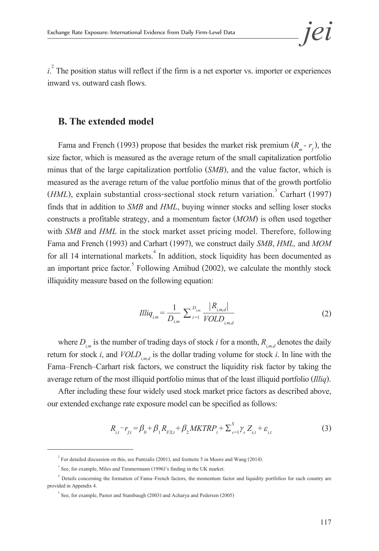$i^2$ . The position status will reflect if the firm is a net exporter vs. importer or experiences inward vs. outward cash flows.

#### **B. The extended model**

Fama and French (1993) propose that besides the market risk premium  $(R_m - r_c)$ , the size factor, which is measured as the average return of the small capitalization portfolio minus that of the large capitalization portfolio (*SMB*), and the value factor, which is measured as the average return of the value portfolio minus that of the growth portfolio (*HML*), explain substantial cross-sectional stock return variation.<sup>3</sup> Carhart (1997) finds that in addition to *SMB* and *HML*, buying winner stocks and selling loser stocks constructs a profitable strategy, and a momentum factor (*MOM*) is often used together with *SMB* and *HML* in the stock market asset pricing model. Therefore, following Fama and French (1993) and Carhart (1997), we construct daily *SMB*, *HML,* and *MOM* for all 14 international markets.<sup>4</sup> In addition, stock liquidity has been documented as an important price factor.  $5$  Following Amihud (2002), we calculate the monthly stock illiquidity measure based on the following equation:

$$
Illiq_{i,m} = \frac{1}{D_{i,m}} \sum_{t=1}^{D_{i,m}} \frac{|R_{i,m,d}|}{VOLD_{i,m,d}}
$$
(2)

where  $D_{i_m}$  is the number of trading days of stock *i* for a month,  $R_{i_m}$  denotes the daily return for stock *i*, and  $VOLD_{imd}$  is the dollar trading volume for stock *i*. In line with the Fama–French–Carhart risk factors, we construct the liquidity risk factor by taking the average return of the most illiquid portfolio minus that of the least illiquid portfolio (*Illiq*).

After including these four widely used stock market price factors as described above, our extended exchange rate exposure model can be specified as follows:

$$
R_{i,t} - r_{f,t} = \beta_0 + \beta_1 R_{FX,t} + \beta_2 MKTRP_t + \sum_{s=1}^{S} \gamma_s Z_{s,t} + \varepsilon_{i,t}
$$
 (3)

<sup>&</sup>lt;sup>2</sup> For detailed discussion on this, see Pantzalis (2001), and footnote 5 in Moore and Wang (2014).

<sup>&</sup>lt;sup>3</sup> See, for example, Miles and Timmermann (1996)'s finding in the UK market.

<sup>4</sup> Details concerning the formation of Fama–French factors, the momentum factor and liquidity portfolios for each country are provided in Appendix 4.

 $5$  See, for example, Pastor and Stambaugh (2003) and Acharya and Pedersen (2005)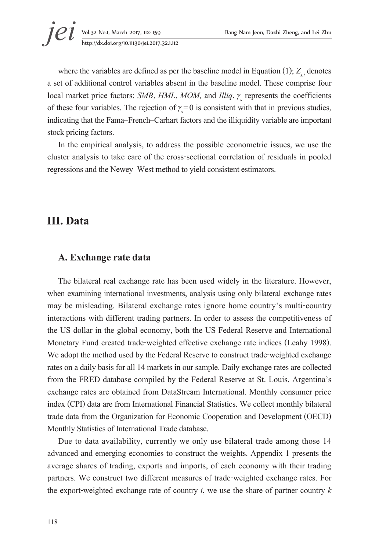where the variables are defined as per the baseline model in Equation (1);  $Z_{st}$  denotes a set of additional control variables absent in the baseline model. These comprise four local market price factors: *SMB*, *HML*, *MOM*, and *Illiq*. γ represents the coefficients of these four variables. The rejection of  $\gamma_s = 0$  is consistent with that in previous studies, indicating that the Fama–French–Carhart factors and the illiquidity variable are important stock pricing factors.

In the empirical analysis, to address the possible econometric issues, we use the cluster analysis to take care of the cross-sectional correlation of residuals in pooled regressions and the Newey–West method to yield consistent estimators.

# **III. Data**

#### **A. Exchange rate data**

The bilateral real exchange rate has been used widely in the literature. However, when examining international investments, analysis using only bilateral exchange rates may be misleading. Bilateral exchange rates ignore home country's multi-country interactions with different trading partners. In order to assess the competitiveness of the US dollar in the global economy, both the US Federal Reserve and International Monetary Fund created trade-weighted effective exchange rate indices (Leahy 1998). We adopt the method used by the Federal Reserve to construct trade-weighted exchange rates on a daily basis for all 14 markets in our sample. Daily exchange rates are collected from the FRED database compiled by the Federal Reserve at St. Louis. Argentina's exchange rates are obtained from DataStream International. Monthly consumer price index (CPI) data are from International Financial Statistics. We collect monthly bilateral trade data from the Organization for Economic Cooperation and Development (OECD) Monthly Statistics of International Trade database.

Due to data availability, currently we only use bilateral trade among those 14 advanced and emerging economies to construct the weights. Appendix 1 presents the average shares of trading, exports and imports, of each economy with their trading partners. We construct two different measures of trade-weighted exchange rates. For the export-weighted exchange rate of country *i*, we use the share of partner country *k*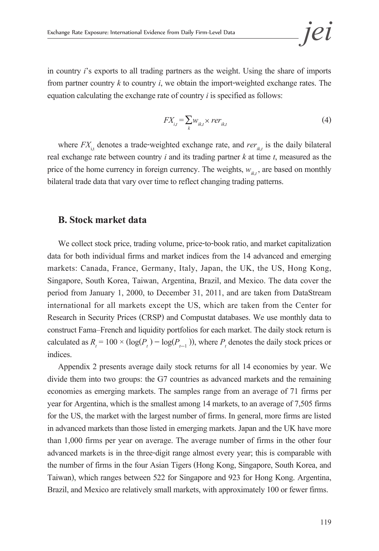in country *i*'s exports to all trading partners as the weight. Using the share of imports from partner country  $k$  to country  $i$ , we obtain the import-weighted exchange rates. The equation calculating the exchange rate of country *i* is specified as follows:

$$
FX_{i,t} = \sum_{k} w_{ik,t} \times rer_{ik,t}
$$
 (4)

where  $FX_{i,t}$  denotes a trade-weighted exchange rate, and  $rer_{ik,t}$  is the daily bilateral real exchange rate between country *i* and its trading partner *k* at time *t*, measured as the price of the home currency in foreign currency. The weights,  $w_{ik,t}$ , are based on monthly bilateral trade data that vary over time to reflect changing trading patterns.

#### **B. Stock market data**

We collect stock price, trading volume, price-to-book ratio, and market capitalization data for both individual firms and market indices from the 14 advanced and emerging markets: Canada, France, Germany, Italy, Japan, the UK, the US, Hong Kong, Singapore, South Korea, Taiwan, Argentina, Brazil, and Mexico. The data cover the period from January 1, 2000, to December 31, 2011, and are taken from DataStream international for all markets except the US, which are taken from the Center for Research in Security Prices (CRSP) and Compustat databases. We use monthly data to construct Fama–French and liquidity portfolios for each market. The daily stock return is calculated as  $R_t = 100 \times (\log(P_t) - \log(P_{t-1}))$ , where  $P_t$  denotes the daily stock prices or indices.

Appendix 2 presents average daily stock returns for all 14 economies by year. We divide them into two groups: the G7 countries as advanced markets and the remaining economies as emerging markets. The samples range from an average of 71 firms per year for Argentina, which is the smallest among 14 markets, to an average of 7,505 firms for the US, the market with the largest number of firms. In general, more firms are listed in advanced markets than those listed in emerging markets. Japan and the UK have more than 1,000 firms per year on average. The average number of firms in the other four advanced markets is in the three-digit range almost every year; this is comparable with the number of firms in the four Asian Tigers (Hong Kong, Singapore, South Korea, and Taiwan), which ranges between 522 for Singapore and 923 for Hong Kong. Argentina, Brazil, and Mexico are relatively small markets, with approximately 100 or fewer firms.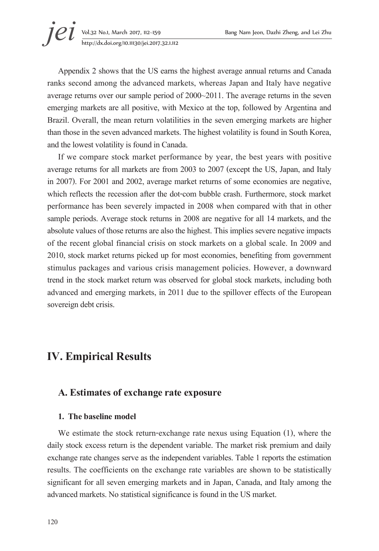**jei** Vol.32 No.1, March 2017, 112–159 Bang Nam Jeon, Dazhi Zheng, and Lei Zhu http://dx.doi.org/10.11130/jei.2017.32.1.112

Appendix 2 shows that the US earns the highest average annual returns and Canada ranks second among the advanced markets, whereas Japan and Italy have negative average returns over our sample period of 2000~2011. The average returns in the seven emerging markets are all positive, with Mexico at the top, followed by Argentina and Brazil. Overall, the mean return volatilities in the seven emerging markets are higher than those in the seven advanced markets. The highest volatility is found in South Korea, and the lowest volatility is found in Canada.

If we compare stock market performance by year, the best years with positive average returns for all markets are from 2003 to 2007 (except the US, Japan, and Italy in 2007). For 2001 and 2002, average market returns of some economies are negative, which reflects the recession after the dot-com bubble crash. Furthermore, stock market performance has been severely impacted in 2008 when compared with that in other sample periods. Average stock returns in 2008 are negative for all 14 markets, and the absolute values of those returns are also the highest. This implies severe negative impacts of the recent global financial crisis on stock markets on a global scale. In 2009 and 2010, stock market returns picked up for most economies, benefiting from government stimulus packages and various crisis management policies. However, a downward trend in the stock market return was observed for global stock markets, including both advanced and emerging markets, in 2011 due to the spillover effects of the European sovereign debt crisis.

# **IV. Empirical Results**

## **A. Estimates of exchange rate exposure**

#### **1. The baseline model**

We estimate the stock return-exchange rate nexus using Equation (1), where the daily stock excess return is the dependent variable. The market risk premium and daily exchange rate changes serve as the independent variables. Table 1 reports the estimation results. The coefficients on the exchange rate variables are shown to be statistically significant for all seven emerging markets and in Japan, Canada, and Italy among the advanced markets. No statistical significance is found in the US market.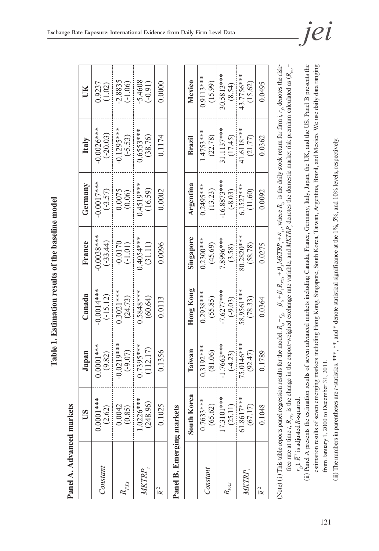| Panel A. Advanced markets |                                   |                           |                           |                                     |                                                |                            |                        |
|---------------------------|-----------------------------------|---------------------------|---------------------------|-------------------------------------|------------------------------------------------|----------------------------|------------------------|
|                           | ိ                                 | Japan                     | Canada                    | France                              | Germany                                        | Italy                      | UК                     |
| Constant                  | ****1<br>0.0001                   | $0.0001***$<br>(9.82)     | $0.0014***$<br>$(-15.12)$ | $0.0038***$<br>$(-33.44)$           | $0.0017***$<br>$(-3.57)$                       | $-0.0026***$<br>$(-20.03)$ | 0.9237<br>(1.02)       |
| $\mathit{FX1}$            | $\frac{(2.62)}{0.0042}$<br>0.0042 | $-0.0219***$<br>$(-9.07)$ | $0.3021***$<br>(24.73)    | $-0.0170$<br>$(-1.01)$<br>0.4054*** | $\begin{array}{c} 0.0075 \\ 0.005 \end{array}$ | $-0.1295***$<br>$(-5.53)$  | $-2.8835$<br>$(-1.06)$ |
|                           | $1.0226***$<br>(248.96)           | $0.7395***$<br>(112.17)   | 1.5848***<br>(60.64)      | (31.11)                             | $0.4519***$<br>(16.59)                         | $0.6553***$<br>(38.76)     | $-5.4608$<br>$(-0.91)$ |
| $\overline{R}^2$          | 0.1025                            | 0.1356                    | 0.0113                    | 0.0096                              | 0.0002                                         | 0.1174                     | 0.0000                 |
| Panel B. Emerging markets |                                   |                           |                           |                                     |                                                |                            |                        |
|                           | Korea<br>South 1                  | Taiwan                    | Hong Kong                 | Singapore                           | Argentina                                      | Brazil                     | Mexico                 |
| Constant                  | $0.7633***$<br>(65.62)            | $0.3192***$<br>(81.06)    | $0.2938***$<br>(55.85)    | $0.2300***$<br>(45.69)              | $0.2495***$<br>(13.23)                         | $1.4753***$<br>(22.78)     | $0.9113***$<br>(15.99) |
| $R_{FX,t}$                | $17.3101***$<br>(25.11)           | $-1.7663***$<br>$(-4.23)$ | $-7.6277***$<br>$(-9.03)$ | 7.8996***<br>(3.58)                 | $-16.8873***$<br>$(-8.03)$                     | 31.1137***<br>(17.45)      | 30.5813***<br>(8.54)   |

Table 1. Estimation results of the baseline model **Table 1. Estimation results of the baseline model**

|                         | I                             |              |
|-------------------------|-------------------------------|--------------|
| j                       | È.                            |              |
|                         |                               |              |
|                         |                               |              |
|                         |                               |              |
|                         |                               |              |
| <b>Select Lit</b>       |                               |              |
|                         |                               |              |
| The for                 |                               |              |
|                         |                               |              |
| $\frac{1}{1}$           |                               |              |
|                         |                               |              |
|                         |                               |              |
| d                       |                               |              |
|                         |                               |              |
|                         |                               |              |
|                         |                               |              |
| $\sim$ where $\sim$     | ļ                             |              |
|                         |                               |              |
|                         |                               |              |
|                         |                               |              |
|                         |                               |              |
|                         |                               |              |
|                         |                               |              |
| t.                      |                               |              |
| $\vdash K - r = K$      |                               |              |
|                         |                               |              |
|                         |                               |              |
|                         |                               |              |
| - יים מי הר             |                               |              |
|                         |                               |              |
|                         |                               |              |
|                         |                               |              |
|                         |                               |              |
|                         | na r                          | j<br>₹<br>ĭ  |
| ו⊾<br>ב<br>$1$ rar<br>j | J                             | ud.<br>すくこくし |
|                         | $R_{\text{rec}}$ , 18         | í            |
| s nan                   |                               |              |
|                         |                               | ineta<br>j   |
|                         |                               | لى<br>م      |
| 's table report.        | free rate at time $tr$ .<br>l | l            |
| This tabl               |                               |              |
|                         |                               |              |
| N <sub>ota</sub>        |                               |              |
|                         |                               |              |

*MKTRP<sub>t</sub>* 61.8617\*\*\* (75.0146\*\*\* (58.9561\*\*\* (80.2820\*\*\* (6.1527\*\*\* (4.16118\*\*\* (43.7756\*\*\*<br>*MKTRP<sub>t</sub>* (67.17) (92.47) (78.33) (58.78) (11.60) (21.77) (15.62)

 $(78.33)$ 0.0364

 $(92.47)$ 0.1789

 $(67.17)$ 0.1048

 $(58.78)$ 0.0275

 $\frac{(8.54)}{43.7756***}$ 

 $(17.45)$ <br>41.6118\*\*\*

 $\frac{(-8.03)}{6.1527***}$  $(11.60)$ 0.0092

 $\frac{(3.58)}{80.2820***}$ 

 $\frac{(-9.03)}{58.9561***}$ 

 $\frac{(-4.23)}{75.0146***}$ 

 $\frac{(25.11)}{61.8617***}$ 

 $(15.62)$ 0.0495

 $(21.77)$ 0.0362

*R* 2 0.1048 0.1789 0.0364 0.0275 0.0092 0.0362 0.0495

∣ ⊆

MKTRP,

(ii) Panel A presents the estimation results of seven advanced markets including Canada, France, Germany, Italy, Japan, the UK, and the US. Panel B presents the (ii) Panel A presents the estimation results of seven advanced markets including Canada, France, Germany, Italy, Japan, the UK, and the US. Panel B presents the estimation results of seven emerging markets including Hong Kong, Singapore, South Korea, Taiwan, Argentina, Brazil, and Mexico. We use daily data ranging estimation results of seven emerging markets including Hong Kong, Singapore, South Korea, Taiwan, Argentina, Brazil, and Mexico. We use daily data ranging from January 1, 2000 to December 31, 2011. from January 1, 2000 to December 31, 2011.

(ii) The numbers in parentheses are t-statistics. \*\*\*, \*\*, and \* denote statistical significance at the 1%, 5%, and 10% levels, respectively. (iii) The numbers in parentheses are *t*-statistics. \*\*\*, \*\*, and \* denote statistical significance at the 1%, 5%, and 10% levels, respectively.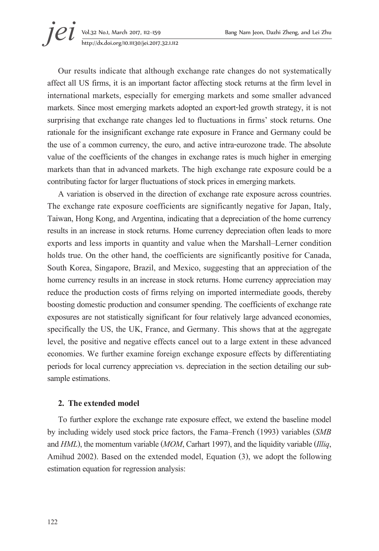**jei** Vol.32 No.1, March 2017, 112–159 Bang Nam Jeon, Dazhi Zheng, and Lei Zhu<br>http://dx.doi.org/10.11130/jei.2017.32.1.112 http://dx.doi.org/10.11130/jei.2017.32.1.112

Our results indicate that although exchange rate changes do not systematically affect all US firms, it is an important factor affecting stock returns at the firm level in international markets, especially for emerging markets and some smaller advanced markets. Since most emerging markets adopted an export-led growth strategy, it is not surprising that exchange rate changes led to fluctuations in firms' stock returns. One rationale for the insignificant exchange rate exposure in France and Germany could be the use of a common currency, the euro, and active intra-eurozone trade. The absolute value of the coefficients of the changes in exchange rates is much higher in emerging markets than that in advanced markets. The high exchange rate exposure could be a contributing factor for larger fluctuations of stock prices in emerging markets.

A variation is observed in the direction of exchange rate exposure across countries. The exchange rate exposure coefficients are significantly negative for Japan, Italy, Taiwan, Hong Kong, and Argentina, indicating that a depreciation of the home currency results in an increase in stock returns. Home currency depreciation often leads to more exports and less imports in quantity and value when the Marshall–Lerner condition holds true. On the other hand, the coefficients are significantly positive for Canada, South Korea, Singapore, Brazil, and Mexico, suggesting that an appreciation of the home currency results in an increase in stock returns. Home currency appreciation may reduce the production costs of firms relying on imported intermediate goods, thereby boosting domestic production and consumer spending. The coefficients of exchange rate exposures are not statistically significant for four relatively large advanced economies, specifically the US, the UK, France, and Germany. This shows that at the aggregate level, the positive and negative effects cancel out to a large extent in these advanced economies. We further examine foreign exchange exposure effects by differentiating periods for local currency appreciation vs. depreciation in the section detailing our subsample estimations.

### **2. The extended model**

To further explore the exchange rate exposure effect, we extend the baseline model by including widely used stock price factors, the Fama–French (1993) variables (*SMB* and *HML*), the momentum variable (*MOM*, Carhart 1997), and the liquidity variable (*Illiq*, Amihud 2002). Based on the extended model, Equation (3), we adopt the following estimation equation for regression analysis: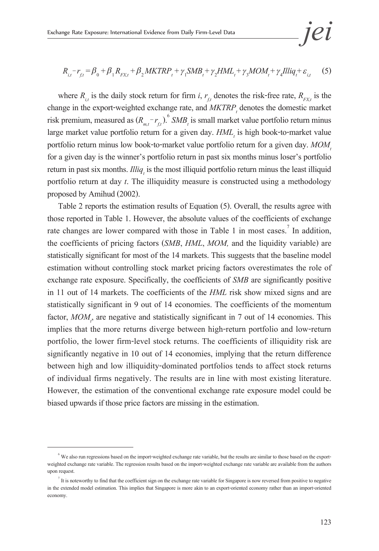$$
jei
$$

$$
R_{i,t} - r_{f,t} = \beta_0 + \beta_1 R_{F X, t} + \beta_2 MKTRP_t + \gamma_1 SMB_t + \gamma_2 HML_t + \gamma_3 MOM_t + \gamma_4 Illiq_t + \varepsilon_{i,t}
$$
 (5)

where  $R_{i_t}$  is the daily stock return for firm *i*,  $r_{i_t}$  denotes the risk-free rate,  $R_{j_t}$  is the change in the export-weighted exchange rate, and  $MKTRP_t$  denotes the domestic market risk premium, measured as  $(R_{m,t} - r_{f,t})$ .<sup>6</sup> *SMB<sub>t</sub>* is small market value portfolio return minus large market value portfolio return for a given day.  $HML$ <sub>t</sub> is high book-to-market value portfolio return minus low book-to-market value portfolio return for a given day. MOM, for a given day is the winner's portfolio return in past six months minus loser's portfolio return in past six months. *Illiq<sub>t</sub>* is the most illiquid portfolio return minus the least illiquid portfolio return at day *t*. The illiquidity measure is constructed using a methodology proposed by Amihud (2002).

Table 2 reports the estimation results of Equation (5). Overall, the results agree with those reported in Table 1. However, the absolute values of the coefficients of exchange rate changes are lower compared with those in Table 1 in most cases.<sup>7</sup> In addition, the coefficients of pricing factors (*SMB*, *HML*, *MOM,* and the liquidity variable) are statistically significant for most of the 14 markets. This suggests that the baseline model estimation without controlling stock market pricing factors overestimates the role of exchange rate exposure. Specifically, the coefficients of *SMB* are significantly positive in 11 out of 14 markets. The coefficients of the *HML* risk show mixed signs and are statistically significant in 9 out of 14 economies. The coefficients of the momentum factor,  $MOM$ <sub>p</sub>, are negative and statistically significant in 7 out of 14 economies. This implies that the more returns diverge between high-return portfolio and low-return portfolio, the lower firm-level stock returns. The coefficients of illiquidity risk are significantly negative in 10 out of 14 economies, implying that the return difference between high and low illiquidity-dominated portfolios tends to affect stock returns of individual firms negatively. The results are in line with most existing literature. However, the estimation of the conventional exchange rate exposure model could be biased upwards if those price factors are missing in the estimation.

 $6$  We also run regressions based on the import-weighted exchange rate variable, but the results are similar to those based on the exportweighted exchange rate variable. The regression results based on the import-weighted exchange rate variable are available from the authors upon request.

It is noteworthy to find that the coefficient sign on the exchange rate variable for Singapore is now reversed from positive to negative in the extended model estimation. This implies that Singapore is more akin to an export-oriented economy rather than an import-oriented economy.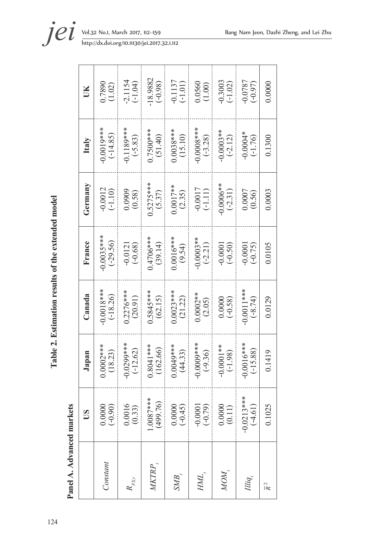| ļ                             |
|-------------------------------|
|                               |
|                               |
| i                             |
|                               |
| i<br>C                        |
|                               |
| Í                             |
|                               |
| i                             |
|                               |
|                               |
|                               |
|                               |
|                               |
| $\ddot{\phantom{a}}$<br>J     |
| $\frac{1}{2}$<br>$\mathbf{i}$ |
| $\frac{1}{2}$                 |
| ahle<br>į                     |
|                               |
| ĺ<br>F                        |
|                               |
|                               |
|                               |
|                               |
|                               |
|                               |
|                               |
|                               |
|                               |
|                               |
|                               |
|                               |
|                               |
|                               |
|                               |
|                               |
| $\mathbf{1}^{\prime}$         |

Panel A. Advanced markets **Panel A. Advanced markets**

|                    | SŰ                        | Japan                      | Canada                     | France                    | Germany                    | Italy                     | Ĕ                       |
|--------------------|---------------------------|----------------------------|----------------------------|---------------------------|----------------------------|---------------------------|-------------------------|
| Constant           | 0.0000<br>$(-0.90)$       | $0.0002***$<br>(18.23)     | $0.0018***$<br>$(-18.26)$  | $0.0035***$<br>$(-29.56)$ | $-0.0012$<br>$(-1.10)$     | $0.0010**$<br>$(-14.85)$  | $\frac{0.7890}{(1.02)}$ |
| $R_{_{\!F\!X\!I}}$ | $0.0016$<br>$(0.33)$      | $0.029$ %***<br>$(-12.62)$ | $0.2276***$<br>(20.91)     | $-0.0121$<br>$(-0.68)$    | $(0.0909$<br>$(0.58)$      | $-0.1189***$<br>$(-5.83)$ | $-2.1154$<br>$(-1.04)$  |
| MKTRP              | $1.0087***$<br>(499.76)   | $0.8041***$<br>(162.66)    | $.5845***$<br>(62.15)      | $0.4706***$<br>(39.14)    | $\frac{0.5275***}{(5.37)}$ | $0.7500***$<br>(51.40)    | 18.9882<br>$(-0.98)$    |
| SMB,               | 0.0000<br>$(-0.45)$       | $0.0049***$<br>(44.33)     | $0.0023***$<br>(21.22)     | $0.0016***$<br>(9.54)     | $0.0017**$<br>(2.35)       | $0.0038***$<br>(15.10)    | $-0.1137$<br>$(-1.01)$  |
| HML.               | $-0.0001$<br>$(-0.79)$    | $-0.0009***$               | $0.0002**$<br>(2.05)       | $-0.0003**$<br>$(-2.21)$  | $-0.0017$<br>(-1.11)       | $0.0008***$<br>(-3.28)    | $\frac{0.0560}{(1.00)}$ |
| NOM,               | 0.0000<br>(0.11)          | $-0.0001**$<br>$(-1.98)$   | $(0.0000$<br>$(-0.58)$     | $-0.0001$<br>$(-0.50)$    | $0.0006**$<br>$(-2.31)$    | $-0.0003**$<br>$(-2.12)$  | $-0.3003$<br>$(-1.02)$  |
| Illiq,             | $-0.0213***$<br>$(-4.61)$ | $0.0016***$<br>$(-15.88)$  | $-0.0011$ ***<br>$(-8.74)$ | $-0.0001$<br>$(-0.75)$    | (0.0007                    | $-0.0004*$<br>$(-1.76)$   | $-0.0787$<br>$(-0.97)$  |
| $\overline{R}^2$   | 0.1025                    | 0.1419                     | 0.0129                     | 0.0105                    | 0.0003                     | 0.1300                    | 0.0000                  |

**jei** Vol.32 No.1, March 2017, 112–159 Bang Nam Jeon, Dazhi Zheng, and Lei Zhu http://dx.doi.org/10.11130/jei.2017.32.1.112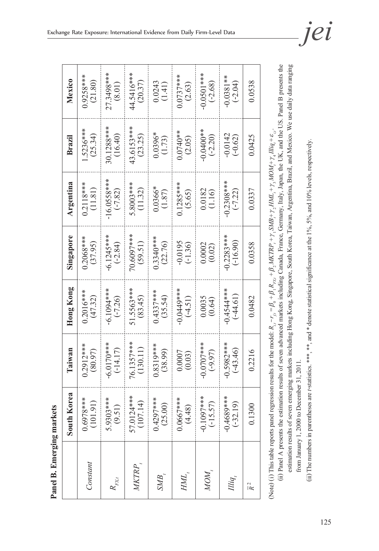| ζ<br>ć           |
|------------------|
| Ŋ<br>٢<br>D<br>ă |
| r<br>٥           |
| Ŝ                |

| orea<br>South K                 | Taiwan                     | Hong Kong                 | Singapore                  | Argentina                                       | Brazil                  | Mexico                     |
|---------------------------------|----------------------------|---------------------------|----------------------------|-------------------------------------------------|-------------------------|----------------------------|
| $0.6978***$<br>(101.91)         | $0.2912***$<br>(80.97)     | $0.2016***$<br>(47.32)    | $0.2068***$<br>(37.95)     | $0.2118***$<br>(11.81)                          | .5236***<br>(25.34)     | $0.9258***$<br>(21.80)     |
| 5.9303****<br>(9.51)            | $-6.0170***$<br>$(-14.17)$ | $-6.1094***$<br>$(-7.26)$ | $-6.1245***$<br>$(-2.84)$  | $-16.0558***$<br>$(-7.82)$                      | 30.1288***<br>(16.40)   | 27.3498***<br>(8.01)       |
| 1***<br>(107.14)<br>57.0124     | 76.1357***<br>(130.11)     | 51.5563***<br>(83.45)     | 70.6097***<br>(59.51)      | 5.8003***<br>(11.32)                            | 43.6153***<br>(23.25)   | 44.5416***<br>(20.37)      |
| $0.4297***$<br>(25.00)          | $0.8319***$<br>(38.99)     | $0.4337***$<br>(35.54)    | $0.3340***$<br>(22.76)     | $0.0366*$<br>(1.87)                             | $0.0396*$<br>(1.73)     | (1.41)                     |
| $0.0667***$<br>(4.48)           | (0.0007)                   | -0.0449***<br>$(-4.51)$   | $-0.0195$<br>$(-1.36)$     | $0.1285***$<br>(5.65)                           | $0.0740**$<br>(2.05)    | $0.0737***$<br>(2.63)      |
| $-0.1097***$<br>$(-15.57)$      | $-0.0707$ ***<br>$(-9.97)$ | 0.0035<br>(0.64)          | 0.0002<br>(0.02)           | $\begin{array}{c} 0.0182 \\ (1.16) \end{array}$ | $0.0400**$<br>$(-2.20)$ | $-0.0501$ ***<br>$(-2.68)$ |
| ****<br>$(-32.19)$<br>$-0.4689$ | $-0.5982***$<br>$(-43.46)$ | $-0.4544**$<br>$(-44.61)$ | $-0.2283***$<br>$(-16.90)$ | $-0.2308***$<br>$(-7.22)$                       | $-0.0142$<br>$(-0.62)$  | $0.0381**$<br>$(-2.04)$    |
| 0.1300                          | 0.2216                     | 0.0482                    | 0.0358                     | 0.0337                                          | 0.0425                  | 0.0538                     |
|                                 |                            |                           |                            |                                                 |                         |                            |

(Note) (i) This table reports panel regression results for the model:  $R_{i,t} - r_{f,t} = \beta_0 + \beta_1 R_{F_{KL}} + \beta_2 MKTRP_t + \gamma_1 SMB_t + \gamma_2 HML_t + \gamma_3 MOM_t + \gamma_4 Iliq_t + \varepsilon_{i,t}$ . Note) (i) This table reports panel regression results for the model:  $R_{i_1} - r_{i_1} = \beta_0 + \beta_1 R_{i_2 i_2} + \beta_2 MKTRT_{i_1} + \gamma_1 MJ_i + \gamma_2 MJ_i + \gamma_3 MJ_i + \gamma_4 Iliq_1 + \epsilon_{i_1}$ .

(ii) Panel A presents the estimation results of seven advanced markets including Canada, France, Germany, Italy, Japan, the UK, and the US. Panel B presents the (ii) Panel A presents the estimation results of seven advanced markets including Canada, France, Germany, Italy, Japan, the UK, and the US. Panel B presents the estimation results of seven emerging markets including Hong Kong, Singapore, South Korea, Taiwan, Argentina, Brazil, and Mexico. We use daily data ranging estimation results of seven emerging markets including Hong Kong, Singapore, South Korea, Taiwan, Argentina, Brazil, and Mexico. We use daily data ranging from January 1, 2000 to December 31, 2011. from January 1, 2000 to December 31, 2011.

(ii) The numbers in parentheses are t-statistics. \*\*\*, \*\*, and \* denote statistical significance at the 1%, 5%, and 10% levels, respectively. (iii) The numbers in parentheses are *t*-statistics. \*\*\*, \*\*, and \* denote statistical significance at the 1%, 5%, and 10% levels, respectively.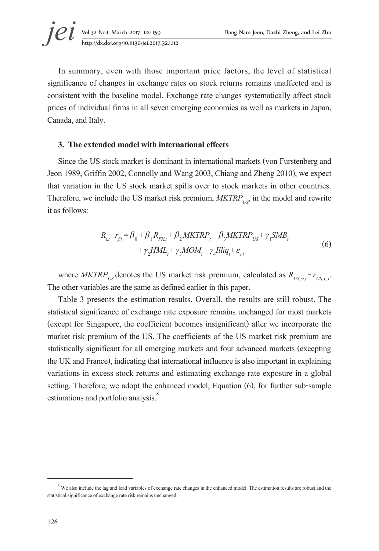In summary, even with those important price factors, the level of statistical significance of changes in exchange rates on stock returns remains unaffected and is consistent with the baseline model. Exchange rate changes systematically affect stock prices of individual firms in all seven emerging economies as well as markets in Japan, Canada, and Italy.

#### **3. The extended model with international effects**

Since the US stock market is dominant in international markets (von Furstenberg and Jeon 1989, Griffin 2002, Connolly and Wang 2003, Chiang and Zheng 2010), we expect that variation in the US stock market spills over to stock markets in other countries. Therefore, we include the US market risk premium,  $MKTRP_{U\text{S}}$  in the model and rewrite it as follows:

$$
R_{i,t} - r_{f,t} = \beta_0 + \beta_1 R_{FXt} + \beta_2 MKTRP_t + \beta_3 MKTRP_{US} + \gamma_1 SMB_t + \gamma_2 HML_t + \gamma_3 MOM_t + \gamma_4 Illiq_t + \varepsilon_{i,t}
$$
\n
$$
(6)
$$

where *MKTRP*<sub>US</sub> denotes the US market risk premium, calculated as  $R_{U S, m, t} - r_{U S, f, t}$ .<br>The other variables are the same as defined earlier in this paper.

Table 3 presents the estimation results. Overall, the results are still robust. The statistical significance of exchange rate exposure remains unchanged for most markets (except for Singapore, the coefficient becomes insignificant) after we incorporate the market risk premium of the US. The coefficients of the US market risk premium are statistically significant for all emerging markets and four advanced markets (excepting the UK and France), indicating that international influence is also important in explaining variations in excess stock returns and estimating exchange rate exposure in a global setting. Therefore, we adopt the enhanced model, Equation (6), for further sub-sample estimations and portfolio analysis.<sup>8</sup>

 $8$  We also include the lag and lead variables of exchange rate changes in the enhanced model. The estimation results are robust and the statistical significance of exchange rate risk remains unchanged.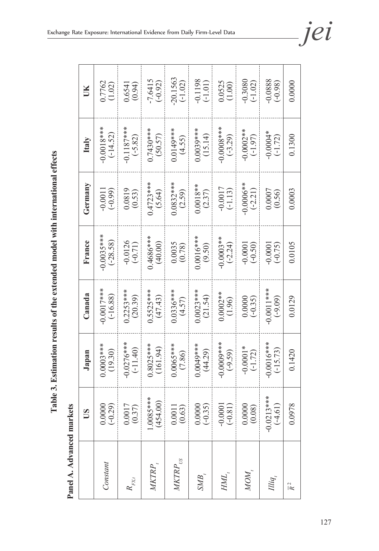Table 3. Estimation results of the extended model with international effects **Table 3. Estimation results of the extended model with international effects**

Panel A. Advanced markets **Panel A. Advanced markets**

|                        | S                         | Japan                     | Canada                    | France                    | Germany                  | Italy                        | ŬК                      |
|------------------------|---------------------------|---------------------------|---------------------------|---------------------------|--------------------------|------------------------------|-------------------------|
| Constant               | $(-0.29)$<br>0.0000       | $0.0003***$               | $0.0017***$<br>$(-16.88)$ | $0.0035***$<br>$(-28.58)$ | $-0.0011$<br>$(-0.99)$   | $0.0018***$<br>(-14.52)      | 0.7762<br>(1.02)        |
| $R_{\mathrm{FX},t}$    | 0.0017<br>(0.37)          | $0.0276***$<br>$(-11.40)$ | $0.2253***$<br>(20.39)    | $-0.0126$<br>$(-0.71)$    | 0.0819<br>(0.53)         | $0.1187***$<br>$(-5.82)$     | $0.6541$<br>$(0.94)$    |
| MKTRP <sub>,</sub>     | 1.0085****<br>(454.00)    | $0.8025***$<br>(161.94)   | $0.5525***$<br>(47.43)    | 1.4686***<br>(40.00)      | $0.4723***$<br>(5.64)    | $0.7430***$<br>(50.57)       | $-7.6415$<br>$(-0.92)$  |
| $M\!K T\!R\!P_{_{US}}$ | 0.0011<br>(0.63)          | $0.0065***$               | $0.0336***$<br>(4.57)     | $\frac{0.0035}{(0.78)}$   | $0.0832***$              | $0.0149***$<br>(4.55)        | 20.1563<br>$(-1.02)$    |
| SMB,                   | 0.0000<br>$(-0.35)$       | 1.0049****<br>(44.29)     | $0.0023***$<br>(21.54)    | $0.0016***$<br>(9.50)     | $0.0018**$<br>(2.37)     | $0.0039***$<br>(15.14)       | $-0.1198$<br>$(-1.01)$  |
| HML,                   | $(-0.81)$<br>$-0.0001$    | $-0.0009***$              | $0.0002**$<br>(1.96)      | $-0.0003**$<br>$(-2.24)$  | $-0.0017$<br>$(-1.13)$   | $\frac{(6.0008**)}{(-3.29)}$ | $\frac{0.0525}{(1.00)}$ |
| NOM.                   | 0.0000<br>(0.08)          | $-0.0001*$<br>$(-1.72)$   | $( -0.35)$                | $-0.0001$<br>$(-0.50)$    | $-0.0006**$<br>$(-2.21)$ | $-0.0002**$<br>$(-1.97)$     | $-0.3080$<br>$(-1.02)$  |
| Illiq,                 | $-0.0213***$<br>$(-4.61)$ | $0.0016***$<br>$(-15.73)$ | $-0.0011***$<br>$(-9.09)$ | $-0.0001$<br>$(-0.75)$    | (0.0007                  | $*0.0004*$<br>$(-1.72)$      | $-0.0888$<br>$(-0.98)$  |
| $\overline{R}^2$       | 0.0978                    | 0.1420                    | 0.0129                    | 0.0105                    | 0.0003                   | 0.1300                       | 0.0000                  |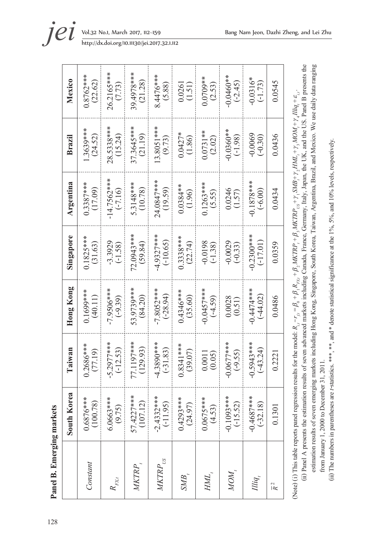| Mexico      | $0.8762***$<br>(22.62)  | 26.2165***<br>(7.73)       | 39.4978***<br>(21.28)  | $8.4476***$<br>(5.88)       | $\frac{0.0261}{(1.51)}$ | 1.0709**<br>(2.53)       | $0.0460**$<br>$(-2.45)$    | $-0.0316*$<br>$(-1.73)$                      | 0.0545           |
|-------------|-------------------------|----------------------------|------------------------|-----------------------------|-------------------------|--------------------------|----------------------------|----------------------------------------------|------------------|
| Brazil      | $1.3639***$<br>(24.52)  | 28.5338***<br>(15.24)      | 37.3645***<br>(21.19)  | ∗<br>$13.8051***$<br>(9.73) | $0.0427*$<br>(1.86)     | $0.0731**$<br>(2.02)     | 0.0360**<br>$(-1.98)$      | $-0.0069$<br>$(-0.30)$                       | 0.0436           |
| Argentina   | $0.3387***$<br>(17.09)  | $-14.7562***$<br>$(-7.16)$ | 5.3148***<br>(10.78)   | $24.0847***$<br>(19.59)     | $0.0384**$<br>(1.96)    | $0.1263***$<br>(5.55)    | 0.0246<br>(1.57)           | ∗<br>$-0.1878**$<br>$(-6.00)$                | 0.0434           |
| Singapore   | $0.1825***$<br>(31.63)  | $-3.3929$<br>$(-1.58)$     | 72.0943***<br>(59.84)  | $-4.9327***$<br>$(-10.65)$  | $0.3338***$<br>(22.74)  | $-0.0198$<br>$(-1.38)$   | $-0.0029$<br>$(-0.33)$     | $-0.2300$ ***<br>$(-17.01)$                  | 0.0359           |
| Hong Kong   | $0.1699***$<br>(40.11)  | -7.9506***<br>$(-9.39)$    | 53.9739***<br>(84.20)  | $-7.8052***$<br>$(-28.94)$  | $0.4346***$<br>(35.60)  | $0.0457***$<br>$(-4.59)$ | 0.0028<br>(0.51)           | **********<br>$(-44.02)$                     | 0.0486           |
| Taiwan      | $0.2686***$<br>(77.19)  | 5.2977***<br>$(-12.53)$    | 77.1197***<br>(129.93) | 4.3890***<br>$(-31.83)$     | $0.8341***$<br>(39.07)  | (0.05)<br>0.0011         | $-0.0677***$<br>$(-9.55)$  | $-0.5943***$<br>$(-43.24)$                   | 0.2221           |
| South Korea | $0.6876***$<br>(100.78) | 6.0663****<br>(9.75)       | 57.4227***<br>(107.12) | $-2.4332***$<br>$(-11.95)$  | $0.4293***$<br>(24.97)  | $0.0675***$<br>(4.53)    | $-0.1093***$<br>$(-15.52)$ | $-0.4687$ ***<br>$\circledcirc$<br>$(-32.1)$ | 0.130            |
|             | Constant                | $R_{\mathrm{FX}t}$         | MKTRP                  | $M\!K T\!R\!P_{_{US}}$      | SMB,                    | HML                      | NOM <sub>.</sub>           | Illiq,                                       | $\overline{R}^2$ |

estimation results of seven emerging markets including Hong Kong, Singapore, South Korea, Taiwan, Argentina, Brazil, and Mexico. We use daily data ranging estimation results of seven emerging markets including Hong Kong, Singapore, South Korea, Taiwan, Argentina, Brazil, and Mexico. We use daily data ranging from January 1, 2000 to December 31, 2011. from January 1, 2000 to December 31, 2011.

(Note) (i) This table reports panel regression results for the model:  $R_{i,t} - r_{fi} = \beta_0 + \beta_1 R_{F_{KL}} + \beta_2 MKTRP_f + \beta_3 MKTRP_{US} + \gamma_1 SMB_f + \gamma_2 HML_f + \gamma_3 MOM_f + \gamma_4 Hliq_f + \varepsilon_{it}$ .

(Note) (i) This table reports panel regression results for the model:  $R_{i,t} - r_{fi} = \beta_0 + \beta_1 R_{F_{KL}} + \beta_2 MKTRP_f + \beta_3 MKTRP_{US} + \gamma_1 SMB_f + \gamma_2 MDL_f + \gamma_3 MOM_f + \gamma_4 Iliq_f + \varepsilon_{it}$ .

(ii) Panel A presents the estimation results of seven advanced markets including Canada, France, Germany, Italy, Japan, the UK, and the US. Panel B presents the

(ii) Panel A presents the estimation results of seven advanced markets including Canada, France, Germany, Italy, Japan, the UK, and the US. Panel B presents the

(ii) The numbers in parentheses are t-statistics. \*\*\*, \*\*\* and \* denote statistical significance at the 1%, 5%, and 10% levels, respectively. (ii) The numbers in parentheses are *t*-statistics. \*\*\*, and \* denote statistical significance at the 1%, 5%, and 10% levels, respectively.

http://dx.doi.org/10.11130/jei.2017.32.1.112

128**Panel B. Emerging markets** 128

Panel B. Emerging markets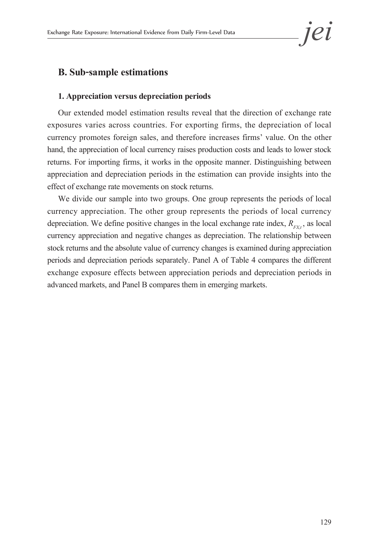# **B. Sub-sample estimations**

#### **1. Appreciation versus depreciation periods**

Our extended model estimation results reveal that the direction of exchange rate exposures varies across countries. For exporting firms, the depreciation of local currency promotes foreign sales, and therefore increases firms' value. On the other hand, the appreciation of local currency raises production costs and leads to lower stock returns. For importing firms, it works in the opposite manner. Distinguishing between appreciation and depreciation periods in the estimation can provide insights into the effect of exchange rate movements on stock returns.

We divide our sample into two groups. One group represents the periods of local currency appreciation. The other group represents the periods of local currency depreciation. We define positive changes in the local exchange rate index,  $R_{\text{av}}$ , as local currency appreciation and negative changes as depreciation. The relationship between stock returns and the absolute value of currency changes is examined during appreciation periods and depreciation periods separately. Panel A of Table 4 compares the different exchange exposure effects between appreciation periods and depreciation periods in advanced markets, and Panel B compares them in emerging markets.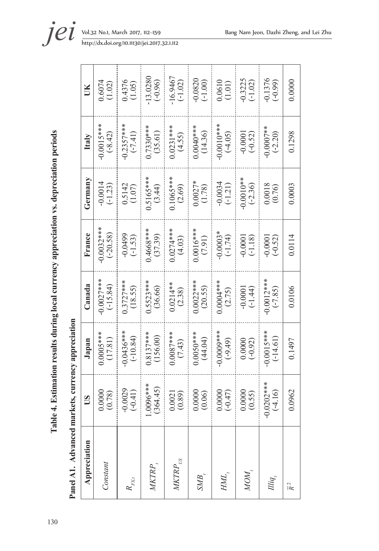Table 4. Estimation results during local currency appreciation vs. depreciation periods 130**Table 4. Estimation results during local currency appreciation vs. depreciation periods**

Panel A1. Advanced markets, currency appreciation **Panel A1. Advanced markets, currency appreciation**

| Appreciation                 | <b>SD</b>                                       | Japan                      | Canada                     | France                                        | Germany                    | Italy                     | UК                      |
|------------------------------|-------------------------------------------------|----------------------------|----------------------------|-----------------------------------------------|----------------------------|---------------------------|-------------------------|
| Constant                     |                                                 | $0.0005***$                | $-0.0027***$<br>$(-15.84)$ | $-0.0032***$                                  | $-0.0014$<br>$(-1.23)$     | $-0.0015***$<br>$(-8.42)$ | $0.6074$<br>(1.02)      |
| $R_{\mathrm{FX}t}$           | $-0.0029$<br>$(-0.41)$                          | $-0.0436***$<br>$(-10.84)$ | $0.3727***$<br>(18.55)     | $-0.0499$<br>$(-1.53)$                        | $0.5142$<br>(1.07)         | $-0.2357***$<br>$(-7.41)$ | (1.05)                  |
|                              | $1.0096***$<br>(364.45)                         | $0.8137***$<br>(156.00)    | $0.5523***$<br>(36.66)     | $0.4668***$<br>(37.39)                        | $\frac{0.5165***}{(3.44)}$ | $0.7330***$<br>(35.61)    | $-13.0280$<br>$(-0.96)$ |
| $\mathit{TRP}_{\mathit{US}}$ | $\begin{array}{c} 0.0021 \\ (0.89) \end{array}$ | $0.0087***$<br>(7.43)      | $0.0214**$<br>(2.38)       |                                               | $0.1065***$                | $0.0231***$<br>(4.55)     | $-16.9467$<br>$(-1.02)$ |
| <b>SMB</b>                   | $0.0000$<br>$(0.06)$                            | $0.0050***$<br>(44.04)     | $0.0022***$<br>(20.55)     | $0.0274***$<br>(4.03)<br>(9.0016***<br>(7.91) | $0.0027*$<br>(1.78)        | $0.0040***$<br>(14.36)    | $-0.0820$<br>$(-1.00)$  |
| HML                          | (0.0000)                                        | $-0.0009$ ***<br>(-9.49)   | $0.0004***$                | $-0.0003*$<br>$(-1.74)$                       | $-0.0034$<br>$(-1.21)$     | $-0.0010***$<br>(-4.05)   | (1.01)                  |
| MOM                          | (0.00000)                                       | (76000)                    | $-0.0001$<br>$(-1.44)$     | $-0.0001$<br>$(-1.18)$                        | $-0.0010**$<br>$(-2.36)$   | $-0.0001$<br>$(-0.52)$    | $-0.3225$<br>$(-1.02)$  |
| Illiq                        | $-0.0202$ ***<br>$(-4.16)$                      | $0.0015***$<br>$(-14.61)$  | $0.0012***$<br>$(-7.85)$   | $-0.0001$<br>$(-0.52)$                        | 0.0018<br>(0.76)           | $0.0007**$<br>$(-2.20)$   | $-0.1376$<br>$(-0.99)$  |
| $\overline{R}^2$             | 0.0962                                          | 0.1497                     | 0.0106                     | 0.0114                                        | 0.0003                     | 0.1298                    | 0.0000                  |

Г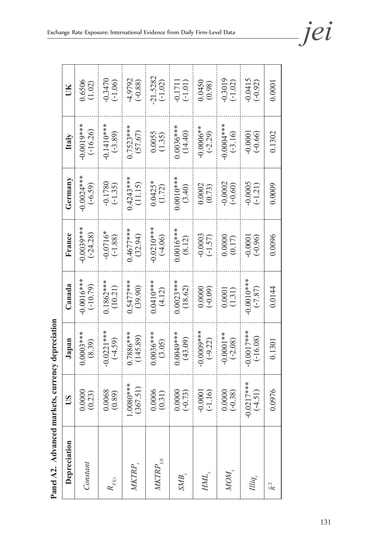| Depreciation     | US                        | Japan                      | Canada                    | France                    | Germany                | Italy                                           | UK                      |
|------------------|---------------------------|----------------------------|---------------------------|---------------------------|------------------------|-------------------------------------------------|-------------------------|
| Constant         | (0.00000)                 | $0.0003$ ***<br>(8.39)     | $0.0016***$<br>$(-10.79)$ | $0.0039***$<br>$(-24.28)$ | $-0.0024***$           | $0.0019***$<br>$(-16.26)$                       | $0.6506$<br>(1.02)      |
| $R_{_{FXI}}$     | 0.0068                    | $-0.0221***$<br>$(-4.59)$  | $0.1862***$<br>(10.21)    | $-0.0716*$<br>$(-1.88)$   | $-0.1780$<br>$(-1.35)$ | $-0.1410***$                                    | $-0.3470$<br>$(-1.06)$  |
|                  | $1.0080***$<br>(367.51)   | $0.7886***$<br>(145.89)    | $0.5477***$<br>(39.90)    | $0.4677***$<br>(32.94)    | $0.4243***$<br>(11.15) | $0.7523***$<br>(57.67)                          | $-4.9792$<br>(-0.88)    |
|                  | (0.0006)                  | $0.0036***$                | $0.0410***$<br>(4.12)     | $-0.0210***$<br>$(-4.06)$ | $0.0425*$<br>(1.72)    | $\begin{array}{c} 0.0055 \\ (1.35) \end{array}$ | $-21.5282$<br>$(-1.02)$ |
| SMB,             | $0.0000$<br>$(-0.73)$     | $0.0049***$<br>(43.09)     | $0.0023***$<br>(18.62)    | $0.0016***$               | $0.0010***$<br>(3.40)  | $0.0036***$                                     | $-0.1711$<br>$(-1.01)$  |
| HML              | $-0.0001$<br>$(-1.16)$    | $-0.0009***$<br>(-9.22)    | (60.0000)                 | $-0.0003$<br>$(-1.57)$    | $0.0002$<br>$(0.73)$   | $-0.0006**$<br>$(-2.29)$                        | $(0.0450)$<br>(0.98)    |
| MON              | $(0.0000$<br>$(-0.38)$    | $-0.0001**$<br>$(-2.08)$   | (1.31)                    |                           | $-0.0002$<br>$(-0.60)$ | $-0.0004***$<br>$(-3.16)$                       | $-0.3019$<br>$(-1.02)$  |
| Illiq            | $-0.0217***$<br>$(-4.51)$ | $-0.0017***$<br>$(-16.08)$ | $-0.0010$ .<br>$(-7.87)$  | $(-0.0001$                | $-0.0005$<br>$(-1.21)$ | $-0.0001$<br>$(-0.66)$                          | $-0.0415$<br>$(-0.92)$  |
| $\overline{R}^2$ | 1.0976                    | 0.1301                     | 0.0144                    | 0.0096                    | 0.0009                 | 0.1302                                          | 0.0001                  |

Panel A2. Advanced markets, currency depreciation **Panel A2. Advanced markets, currency depreciation**

131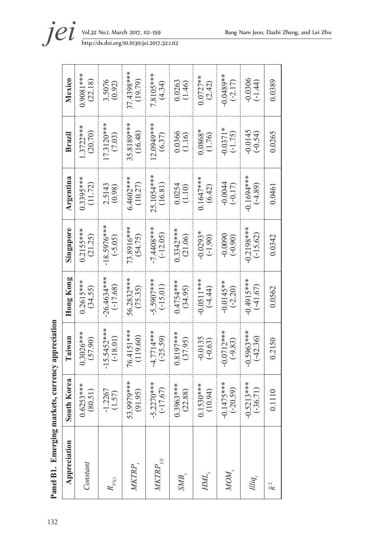| Appreciation           | h Korea<br>Sour                     | Taiwan                      | <b>Hong Kong</b>           | Singapore                 | Argentina                 | Brazil                                          | <b>Mexico</b>           |
|------------------------|-------------------------------------|-----------------------------|----------------------------|---------------------------|---------------------------|-------------------------------------------------|-------------------------|
| Constant               | $0.6253***$<br>(80.51)              | 0.3026***<br>(57.90)        | $0.2615***$<br>(34.55)     | $0.2155***$<br>(21.25)    | $0.3395***$<br>(11.72)    | $.3722***$<br>(20.70)                           | $0.9081***$<br>(22.18)  |
| $R_{\mathrm{FX},t}$    | 1.2267<br>(1.57)<br>ℸ               | $-15.5452***$<br>$(-18.01)$ | $26.4634***$<br>$(-17.68)$ | 18.5976***<br>$(-5.05)$   | $2.5143$<br>(0.98)        | $17.3120***$<br>(7.03)                          | 3.5076<br>(0.92)        |
|                        | $53.9979***$<br>(91.95)             | 76.4151***<br>(119.60)      | 56.2832***<br>(75.35)      | 73.8916***<br>(54.75)     | $6.4602**$<br>(10.27)     | 35.8189***<br>(16.48)                           | 37.4398***<br>(19.79)   |
| $M\!K T\!R\!P_{_{US}}$ | $-5.2270***$<br>(-17.67)            | $4.7714***$<br>$(-25.59)$   | $-5.5907***$<br>$(-15.01)$ | -7.4408***<br>$(-12.05)$  | 25.1054***<br>(16.81)     | 12.0949****<br>(6.37)                           | 7.8105***<br>(4.34)     |
| SMB.                   | $0.3963***$<br>(22.88)              | $0.8197***$<br>(37.95)      | $0.4754***$<br>(34.95)     | $0.3342***$<br>(21.06)    | $0.0254$<br>(1.10)        | $\begin{array}{c} 0.0366 \\ (1.16) \end{array}$ | 0.0263<br>(1.46)        |
| HMI                    | $0.1530***$<br>10.94)               | $-0.0135$<br>$(-0.63)$      | $-0.0511$ ***<br>$(-4.44)$ | $-0.0293*$<br>$(-1.90)$   | $0.1647***$<br>(6.42)     | 0.0868*<br>(1.76)                               | $0.0727**$<br>(2.42)    |
| MOM                    | 1475***<br>$-0.1475***$<br>(-20.59) | $-0.0712***$<br>$(-9.83)$   | $-0.0145**$<br>$(-2.20)$   | $-0.0090$<br>$(-0.90)$    | $-0.0044$<br>$-0.17$      | $-0.0371*$<br>$(-1.75)$                         | $0.0489**$<br>$(-2.17)$ |
| Illiq.                 | $-0.5213***$<br>(-36.71)            | $-0.5963***$<br>$(-42.36)$  | $-0.4915***$<br>$(-41.67)$ | $0.2198***$<br>$(-15.62)$ | $-0.1694***$<br>$(-4.89)$ | $-0.0145$<br>$(-0.54)$                          | $-0.0306$<br>$(-1.44)$  |
| $\overline{R}^2$       | 0.1110                              | 0.2150                      | 0.0562                     | 0.0342                    | 0.0461                    | 0.0265                                          | 0.0389                  |

Panel B1. Emerging markets, currency appreciation 132**Panel B1. Emerging markets, currency appreciation**

**jei** Vol.32 No.1, March 2017, 112–159 Bang Nam Jeon, Dazhi Zheng, and Lei Zhu http://dx.doi.org/10.11130/jei.2017.32.1.112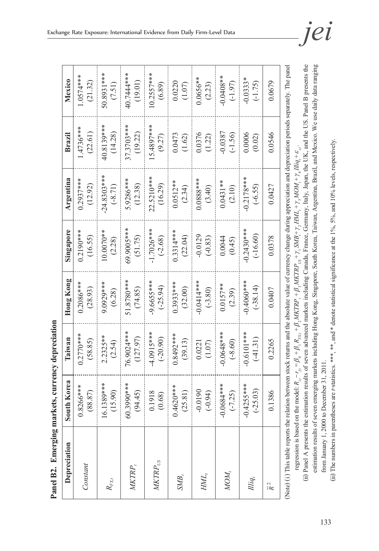| <b>THARA DE A AD MARA DI ATIAN</b><br>í  |
|------------------------------------------|
| $\frac{1}{2}$                            |
|                                          |
| Emerging markets<br>ľ                    |
| A B2.<br>in c<br>┇<br>$\frac{1}{2}$<br>Ľ |

| Depreciation                              | South Korea  | Taiwan      | <b>Hong Kong</b> | Singapore    | Argentina    | Brazil     | Mexico       |
|-------------------------------------------|--------------|-------------|------------------|--------------|--------------|------------|--------------|
| Constant                                  | $0.8266***$  | $0.2770***$ | $0.2086***$      | $0.2190***$  | $0.2937***$  | 4736****   | $.0574***$   |
|                                           | (88.87)      | (58.85)     | (28.93)          | (16.55)      | (12.92)      | (22.61)    | (21.32)      |
| $R_{F\!X,t}$                              | 16.1389***   | $2.2325**$  | 9.0929***        | $0.0070**$   | $-24.8303**$ | 40.8139*** | 50.8931 ***  |
|                                           | (15.90)      | (2.54)      | (6.28)           | (2.28)       | $(-8.71)$    | (14.28)    | (7.51)       |
| WKTRP,                                    | 60.3990***   | 76.9024***  | 51.8780***       | 69.9005***   | 5.9286***    | 37.3703*** | 40.7444***   |
|                                           | (94.45)      | (127.97)    | (74.85)          | (51.75)      | (12.38)      | (19.22)    | (19.01)      |
| $M\!K T\!R P_{\rm \scriptscriptstyle US}$ | 0.1918       | 4.0915***   | 9.6655***        | $-1.7026***$ | 22.5210**    | 5.4897***  | $10.2557***$ |
|                                           | (0.68)       | $(-20.90)$  | $(-25.94)$       | $(-2.68)$    | (16.29)      | (9.27)     | (6.89)       |
| SMB                                       | $0.4620***$  | $0.8492***$ | 0.3933****       | $0.3314***$  | $0.0512***$  | 0.0473     | 0.0220       |
|                                           | (25.81)      | (39.13)     | (32.00)          | (22.04)      | (2.34)       | (1.62)     | (1.07)       |
| HML,                                      | $-0.0190$    | 0.0221      | $-0.0414***$     | $-0.0129$    | $0.0888***$  | 0.0376     | $0.0656**$   |
|                                           | $(-0.94)$    | (1.07)      | $(-3.80)$        | $(-0.83)$    | (3.40)       | (1.22)     | (2.23)       |
| MOM,                                      | $-0.0684***$ | $0.0648***$ | $0.0157**$       | 0.0044       | $0.0431***$  | 0.0387     | 0.0408**     |
|                                           | $(-7.25)$    | $(-8.60)$   | (2.39)           | (0.45)       | (2.10)       | $(-1.56)$  | $(-1.97)$    |
| $Iliq_i$                                  | $-0.4255***$ | $0.6101***$ | $0.4060***$      | $-0.2430***$ | $-0.2178***$ | 0.0006     | $-0.0333*$   |
|                                           | $-25.03$     | (41.31)     | $(-38.14)$       | $(-16.60)$   | $(-6.55)$    | (0.02)     | $(-1.75)$    |
| $\overline{R}^2$                          | 0.1386       | 0.2265      | 0.0407           | 0.0378       | 0.0427       | 0.0546     | 0.0679       |

<sup>(</sup>Note) (i) This table reports the relation between stock returns and the absolute value of currency change during appreciation and depreciation periods separately. The panel (Note) (i) This table reports the relation between stock returns and the absolute value of currency change during appreciation and depreciation periods separately. The panel regression is based on the model: *Ri,t* − *rf,t* = β 0 + β 1 *RFX,t* + β 2 *MKTRPt* + β 3 *MKTRPUS* + γ 1*SMB*+ *t* γ 2*HMLt* + γ 3*MOMt* + γ 4*Illiqt* + ε *i,t* . regression is based on the model:  $R_{i,j} - r_{i,i} = \beta_0 + \beta_1 R_{Ex,i} + \beta_2 MKTRP_i + \beta_3 MKTRP_{US} + \gamma_1 SMB_i + \gamma_2 HML_i + \gamma_3 MOM_i + \gamma_4 Illiq_i + \epsilon_{ii}$ 

<sup>(</sup>ii) Panel A presents the estimation results of seven advanced markets including Canada, France, Germany, Italy, Japan, the UK, and the US. Panel B presents the (ii) Panel A presents the estimation results of seven advanced markets including Canada, France, Germany, Italy, Japan, the UK, and the US. Panel B presents the estimation results of seven emerging markets including Hong Kong, Singapore, South Korea, Taiwan, Argentina, Brazil, and Mexico. We use daily data ranging estimation results of seven emerging markets including Hong Kong, Singapore, South Korea, Taiwan, Argentina, Brazil, and Mexico. We use daily data ranging from January 1, 2000 to December 31, 2011. from January 1, 2000 to December 31, 2011.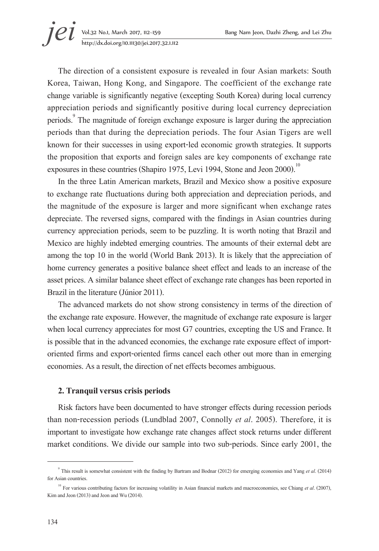**jei** Vol.32 No.1, March 2017, 112–159 Bang Nam Jeon, Dazhi Zheng, and Lei Zhu<br>http://dx.doi.org/10.11130/jei.2017.32.1.112 http://dx.doi.org/10.11130/jei.2017.32.1.112

The direction of a consistent exposure is revealed in four Asian markets: South Korea, Taiwan, Hong Kong, and Singapore. The coefficient of the exchange rate change variable is significantly negative (excepting South Korea) during local currency appreciation periods and significantly positive during local currency depreciation periods.<sup>9</sup> The magnitude of foreign exchange exposure is larger during the appreciation periods than that during the depreciation periods. The four Asian Tigers are well known for their successes in using export-led economic growth strategies. It supports the proposition that exports and foreign sales are key components of exchange rate exposures in these countries (Shapiro 1975, Levi 1994, Stone and Jeon 2000).<sup>10</sup>

In the three Latin American markets, Brazil and Mexico show a positive exposure to exchange rate fluctuations during both appreciation and depreciation periods, and the magnitude of the exposure is larger and more significant when exchange rates depreciate. The reversed signs, compared with the findings in Asian countries during currency appreciation periods, seem to be puzzling. It is worth noting that Brazil and Mexico are highly indebted emerging countries. The amounts of their external debt are among the top 10 in the world (World Bank 2013). It is likely that the appreciation of home currency generates a positive balance sheet effect and leads to an increase of the asset prices. A similar balance sheet effect of exchange rate changes has been reported in Brazil in the literature (Júnior 2011).

The advanced markets do not show strong consistency in terms of the direction of the exchange rate exposure. However, the magnitude of exchange rate exposure is larger when local currency appreciates for most G7 countries, excepting the US and France. It is possible that in the advanced economies, the exchange rate exposure effect of importoriented firms and export-oriented firms cancel each other out more than in emerging economies. As a result, the direction of net effects becomes ambiguous.

#### **2. Tranquil versus crisis periods**

Risk factors have been documented to have stronger effects during recession periods than non-recession periods (Lundblad 2007, Connolly *et al*. 2005). Therefore, it is important to investigate how exchange rate changes affect stock returns under different market conditions. We divide our sample into two sub-periods. Since early 2001, the

<sup>9</sup> This result is somewhat consistent with the finding by Bartram and Bodnar (2012) for emerging economies and Yang *et al*. (2014) for Asian countries. 10 For various contributing factors for increasing volatility in Asian financial markets and macroeconomies, see Chiang *et al*. (2007),

Kim and Jeon (2013) and Jeon and Wu (2014).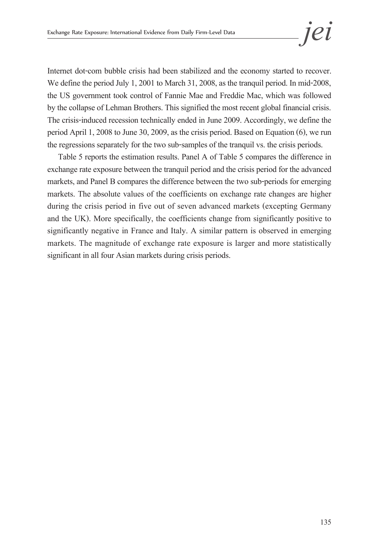Internet dot-com bubble crisis had been stabilized and the economy started to recover. We define the period July 1, 2001 to March 31, 2008, as the tranquil period. In mid-2008, the US government took control of Fannie Mae and Freddie Mac, which was followed by the collapse of Lehman Brothers. This signified the most recent global financial crisis. The crisis-induced recession technically ended in June 2009. Accordingly, we define the period April 1, 2008 to June 30, 2009, as the crisis period. Based on Equation (6), we run the regressions separately for the two sub-samples of the tranquil vs. the crisis periods.

Table 5 reports the estimation results. Panel A of Table 5 compares the difference in exchange rate exposure between the tranquil period and the crisis period for the advanced markets, and Panel B compares the difference between the two sub-periods for emerging markets. The absolute values of the coefficients on exchange rate changes are higher during the crisis period in five out of seven advanced markets (excepting Germany and the UK). More specifically, the coefficients change from significantly positive to significantly negative in France and Italy. A similar pattern is observed in emerging markets. The magnitude of exchange rate exposure is larger and more statistically significant in all four Asian markets during crisis periods.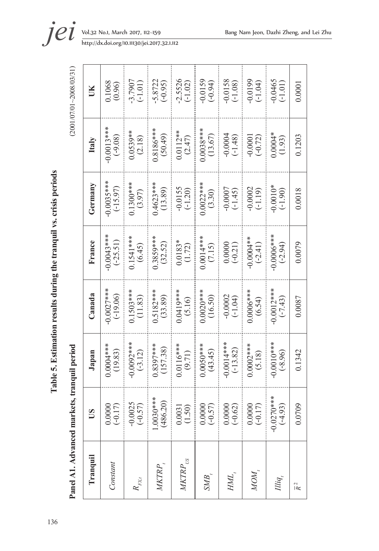| ÷<br>۰.<br>- |
|--------------|
|--------------|

Table 5. Estimation results during the tranquil vs. crisis periods 136**Table 5. Estimation results during the tranquil vs. crisis periods** 

Panel A1 Advanced markets transmil period

 $(2001/07/01)$ 

| Panel A1. Advanced markets, tranquil period |                           |                            |                           |                          |                         |                          | $(2001/07/01 - 2008/03/31)$ |
|---------------------------------------------|---------------------------|----------------------------|---------------------------|--------------------------|-------------------------|--------------------------|-----------------------------|
| Tranquil                                    | SU                        | Japan                      | Canada                    | France                   | Germany                 | Italy                    | ŬК                          |
| Constant                                    | 0.0000<br>$(-0.17)$       | $0.0004***$<br>(19.83)     | $0.0027***$<br>$(-19.06)$ | $0.0043**$<br>$(-25.51)$ | $-0.0035***$            | $0.0013***$<br>$(-9.08)$ | 0.1068<br>(0.96)            |
| $R_{\mathrm{FX},t}$                         | $-0.0025$<br>$(-0.57)$    | $0.0092***$<br>$(-3.12)$   | $0.1503***$<br>(11.83)    | $0.1541***$<br>(6.45)    | $0.1300***$<br>(3.97)   | $0.0539**$<br>(2.18)     | $-3.7907$<br>$(-1.01)$      |
| MKTRP,                                      | 1.0030***<br>(486.20)     | $0.8397***$<br>(157.38)    | $0.5182***$<br>(33.89)    | $0.3859***$<br>(32.52)   | $0.4623***$<br>(13.89)  | $0.8186***$<br>(50.49)   | $-5.8722$<br>$(-0.95)$      |
| $M\!K T\!R P_{_{US}}$                       | 0.0031<br>(1.50)          | $0.0116***$<br>(9.71)      | $0.0419***$<br>(5.16)     | $0.0183*$<br>(1.72)      | $-0.0155$<br>$(-1.20)$  | $0.0112**$<br>(2.47)     | $-2.5526$<br>$(-1.02)$      |
| $\mathit{SMB}_i$                            | 0.0000<br>$(-0.57)$       | $0.0050$ ***<br>(43.45)    | $0.0020$ ***<br>(16.50)   | $0.0014***$<br>(7.15)    | $0.0022***$<br>(3.30)   | $0.0038***$<br>(13.67)   | $-0.0159$<br>$(-0.94)$      |
| $\it{HML}$                                  | 0.0000<br>$(-0.62)$       | $-0.0014***$<br>$(-13.82)$ | $-0.0002$<br>$(-1.04)$    | $0.0000$<br>(-0.21)      | $-0.0007$<br>$(-1.45)$  | $-0.0004$<br>$(-1.48)$   | $-0.0158$<br>$(-1.08)$      |
| NON <sub>.</sub>                            | 0.0000<br>$(-0.17)$       | $0.0002***$<br>(5.18)      | $0.0006***$               | $-0.0004**$<br>$(-2.41)$ | $-0.0002$<br>$(-1.19)$  | $-0.0001$<br>$(-0.72)$   | (50.1)                      |
| Illiq,                                      | $-0.0270$ **<br>$(-4.93)$ | $-0.0010$ ***<br>$(-8.96)$ | $-0.0012***$<br>$(-7.43)$ | 0.00000<br>$(-2.94)$     | $-0.0010*$<br>$(-1.90)$ | $0.0004*$<br>(1.93)      | $-0.0465$<br>$( -1.01)$     |
| $\overline{R}^2$                            | 0.0709                    | 0.1342                     | 0.0087                    | 0.0079                   | 0.0018                  | 0.1203                   | 0.0001                      |
|                                             |                           |                            |                           |                          |                         |                          |                             |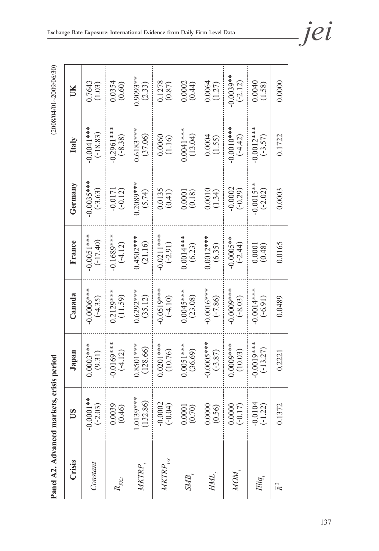$(2008/04/01~2009/06/30)$ 

**Panel A2. Advanced markets, crisis period** (2008/04/01~2009/06/30) Panel A2. Advanced markets, crisis period

| Ĕ       | 0.7643<br>(1.03)          | $0.0354$<br>$(0.60)$     | $0.9093**$<br>(2.33)    | $\frac{0.1278}{(0.87)}$   | $0.0002$<br>(0.44)                            | $0.0064$<br>(1.27)    | $0.0039**$<br>(-2.12)     | (1.58)                    | 0.0000           |
|---------|---------------------------|--------------------------|-------------------------|---------------------------|-----------------------------------------------|-----------------------|---------------------------|---------------------------|------------------|
| Italy   | $0.0041***$<br>$(-18.83)$ | $0.2961***$<br>$(-8.38)$ | $0.6183***$<br>(37.06)  | $\frac{0.0060}{(1.16)}$   | $0.0041***$<br>(13.04)                        | $0.0004$<br>(1.55)    | $-0.0010***$<br>$(-4.42)$ | $0.0012***$<br>$(-3.57)$  | 0.1722           |
| Germany | $0.0035***$<br>$(-3.63)$  | $-0.0171$<br>$(-0.12)$   | $0.2089***$<br>(5.74)   | $0.0135$<br>$(0.41)$      | $\begin{array}{c} 0.0001 \\ 0.18 \end{array}$ | (1.34)                | $-0.0002$<br>$(-0.29)$    | $-0.0015**$<br>$(-2.02)$  | 0.0003           |
| France  | $0.0051**$<br>$(-17.40)$  | $0.1689***$<br>$(-4.12)$ | $0.4502***$<br>(21.16)  | $-0.0211***$<br>$(-2.91)$ | $0.0014***$<br>(6.23)                         | $0.0012***$<br>(6.35) | $-0.0005**$<br>$(-2.44)$  | $0.0001$<br>$(0.48)$      | 0.0165           |
| Canada  | $0.0006***$<br>$(-4.35)$  | $0.2129***$<br>(11.59)   | $0.6292***$<br>(35.12)  | $-0.0519***$              | $0.0045***$<br>(23.08)                        | $-0.0016***$          | $-0.0009***$              | $-0.0014***$              | 0.0489           |
| Japan   | $0.0003***$<br>(9.31)     | $-0.0169***$             | $0.8501***$<br>(128.66) | $0.0201***$<br>(10.76)    | $0.0051***$<br>(36.69)                        | $-0.0005***$          | $0.0009***$<br>(10.03)    | $0.0019***$<br>$(-13.27)$ | 0.2221           |
| S       | $-0.0001**$<br>$(-2.03)$  | 0.0039<br>(0.46)         | $1.0139***$<br>(132.86) | $-0.0002$<br>$(-0.04)$    | 0.0001<br>(0.70)                              | 0.0000<br>(0.56)      | 0.0000<br>$(-0.17)$       | $-0.0104$<br>$(-1.22)$    | 0.1372           |
| Crisis  | Constant                  | $R_{\mathrm{FX},t}$      | MKTRP                   | $M\!K T\!R\!P_{_{US}}$    | SMB,                                          | HML,                  | NOW.                      | Illiq,                    | $\overline{R}^2$ |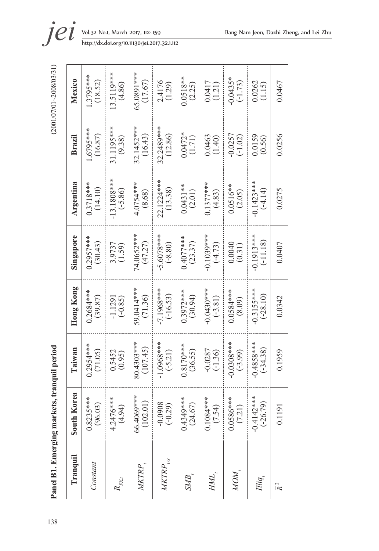| ١ |
|---|
| Į |
|   |
|   |
|   |
|   |
|   |
|   |
|   |
|   |
|   |
|   |
|   |
|   |
|   |
|   |
| ï |
|   |

138**Panel B1. Emerging markets, tranquil period** (2001/07/01~2008/03/31) Panel B1. Emerging markets, tranquil period

| Tranquil              | South Korea                 | Taiwan                     | Hong Kong                  | Singapore                 | Argentina                | Brazil                  | Mexico                 |
|-----------------------|-----------------------------|----------------------------|----------------------------|---------------------------|--------------------------|-------------------------|------------------------|
| Constant              | $0.8235***$<br>(96.03)      | $0.2954***$<br>(71.05)     | $0.2684***$<br>(39.87)     | $0.2957***$<br>(30.43)    | $0.3718***$<br>(14.10)   | $-6795***$<br>(16.87)   | $1.3795***$<br>(18.52) |
| $R_{\mathrm{ext}}$    | 4.2476***<br>(4.94)         | $0.5452$<br>$(0.95)$       | $(-0.85)$<br>$-1.1291$     | 3.9737<br>(1.59)          | 13.1808***<br>$(-5.86)$  | 31.1195***<br>(9.38)    | 13.5119***<br>(4.86)   |
| MKTRP <sub>.</sub>    | 66.4069***<br>(102.01)      | 80.4303***<br>(107.45)     | 59.0414***<br>(71.36)      | 74.0652***<br>(47.27)     | 4.0754***<br>(8.68)      | $32.1452***$<br>(16.43) | 65.0891***<br>(17.67)  |
| $M\!K T\!R P_{_{US}}$ | (670)                       | 1.0968***<br>$(-5.21)$     | -7.1968***<br>$(-16.53)$   | $5.6078***$<br>$(-8.80)$  | 22.1224***<br>(13.38)    | $32.2489***$<br>(12.86) | 2.4176<br>(1.29)       |
| SMB.                  | 0.4349***<br>(24.67)        | $0.8170***$<br>(36.55)     | 0.3972****<br>(30.94)      | $0.4077$ ***<br>(23.37)   | $0.0431**$<br>(2.01)     | $0.0472*$<br>(1.71)     | $0.0518**$<br>(2.25)   |
| HML.                  | 1.1084****<br>(7.54)        | $-0.0287$<br>$(-1.36)$     | $0.0430**$<br>$(-3.81)$    | $0.1039***$<br>$(-4.73)$  | $0.1377***$<br>(4.83)    | 0.0463<br>(1.40)        | 0.0417<br>(1.21)       |
| NOM,                  | 0.0586****<br>(7.21)        | $-0.0308***$<br>$(-3.99)$  | $0.0584***$<br>(8.09)      | 0.0040<br>(0.31)          | $0.0516**$<br>(2.05)     | $-0.0257$<br>$(-1.02)$  | $0.0435*$<br>$(-1.73)$ |
| Illiq,                | $-0.4142$ ***<br>$(-26.79)$ | $-0.4858***$<br>$(-34.38)$ | $-0.3155***$<br>$(-28.10)$ | $0.1913***$<br>$(-11.18)$ | $0.1423***$<br>$(-4.14)$ | 0.0159<br>(0.56)        | 0.0262<br>(1.15)       |
| $\overline{R}^2$      | 0.1191                      | 0.1959                     | 0.0342                     | 0.0407                    | 0.0275                   | 0.0256                  | 0.0467                 |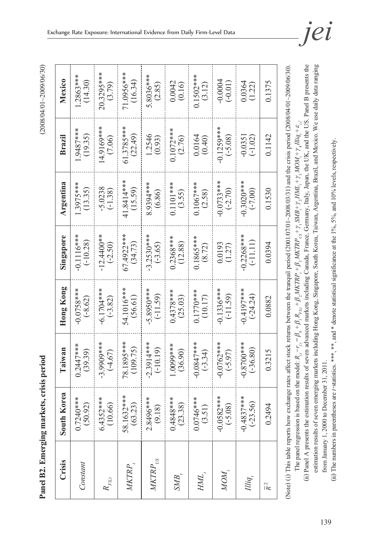**Panel B2. Emerging markets, crisis period** (2008/04/01~2009/06/30) Panel B2. Emerging markets, crisis period

(2008/04/01~2009/06/30)

| Crisis                | South Korea                  | Taiwan                     | Hong Kong                 | Singapore                  | Argentina                | Brazil                   | Mexico                 |
|-----------------------|------------------------------|----------------------------|---------------------------|----------------------------|--------------------------|--------------------------|------------------------|
| Constant              | $0.7240***$<br>(50.92)       | 0.2447****<br>(39.39)      | $-0.0758**$<br>$(-8.62)$  | $-0.1116***$<br>$(-10.28)$ | $1.3975**$<br>(13.35)    | $1.9487***$<br>(19.35)   | $1.2863**$<br>(14.30)  |
| $R_{\mathrm{FX}t}$    | $6.4352***$                  | $-3.9909***$<br>$(-4.67)$  | $-6.1704***$<br>$(-3.82)$ | $-12.4400**$<br>$(-2.50)$  | $-5.0238$<br>$(-1.38)$   | 14.9169***<br>(7.06)     | $20.3295***$<br>(3.79) |
| MKTRP <sub>.</sub>    | 58.1632***<br>(63.23)        | 78.1895***<br>(109.75)     | 54.1016***<br>(56.61)     | 67.4922***<br>(34.73)      | 41.8414***<br>(15.59)    | 61.3785***<br>(22.49)    | 71.0956***<br>(16.34)  |
| $M\!K T\!R P_{_{US}}$ | 2.8496***<br>(9.18)          | $2.3914***$<br>$(-10.19)$  | 5.8950***<br>$(-11.59)$   | $-3.2530***$<br>$(-3.65)$  | 8.9394***<br>(6.86)      | 1.2546<br>(0.93)         | 5.8036***<br>(2.85)    |
| SMB,                  | 0.4848****<br>(23.38)        | 1.0000<br>(36.90)          | $0.4378***$<br>(25.03)    | $0.2368***$<br>(12.88)     | $0.1101***$<br>(3.55)    | $0.1072***$<br>(2.76)    | $0.0042$<br>$(0.16)$   |
| HML,                  | $0.0746***$<br>(3.51)        | $0.0847***$<br>$(-3.34)$   | $0.1770***$<br>(10.17)    | $0.1865***$<br>(8.72)      | $0.1067***$<br>(2.58)    | $0.0164$<br>$(0.40)$     | $0.1502***$<br>(3.12)  |
| NOM <sub>.</sub>      | $-0.0582***$<br>$(-5.08)$    | $-0.0762***$<br>$(-5.97)$  | $0.1336***$<br>$(-11.59)$ | (1.27)                     | $0.0733***$<br>$(-2.70)$ | $0.1259***$<br>$(-5.08)$ | $-0.0004$<br>$(-0.01)$ |
| Illiq,                | $-0.4837$ ****<br>$(-23.56)$ | $0.8700$ ***<br>$(-36.80)$ | $0.4197***$<br>$(-24.24)$ | $0.2268***$<br>$(-11.11)$  | $0.3020***$<br>$(-7.00)$ | $-0.0351$<br>$(-1.02)$   | 0.0364<br>(1.22)       |
| $\overline{R}^2$      | 0.2494                       | 0.3215                     | 0.0882                    | 0.0394                     | 0.1530                   | 0.1142                   | 0.1375                 |

(ii) The numbers in parentheses are *t*-statistics. \*\*\*, \*\*, and \* denote statistical significance at the 1%, 5%, and 10% levels, respectively. (iii) The numbers in parentheses are *t*-statistics. \*\*\*, \*\*, and \* denote statistical significance at the 1%, 5%, and 10% levels, respectively.

(Note) (i) This table reports how exchange rates affect stock returns between the tranquil period (2001/07/01~2008/03/31) and the crisis period (2008/04/01~2009/06/30).

(Note) (i) This table reports how exchange rates affect stock returns between the tranquil period (2001/07/01-2008/03/31) and the crisis period (2008/04/01-2009/06/30).

The panel regression is based on the model:  $R_{i,-r_i} = \beta_0 + \beta_1 R_{r_{c,i}} + \beta_2 MKTRP_i + \beta_3 MKTRP_{c,i} + \gamma_1 SIM2 + r_2 HML_i + r_3 MOM_i + r_i''$ 

The panel regression is based on the model:  $R_{i,t} - r_{f,t} = \beta_0 + \beta_1 R_{F_{XX}} + \beta_2 MKTRP_t + \beta_3 MKTRP_{US} + \gamma_1 SMB + \gamma_2 HML_t + \gamma_3 MOM_t + \gamma_4 Hliq_t + \epsilon_{i,t}$ 

(ii) Panel A presents the estimation results of seven advanced markets including Canada, France, Germany, Italy, Japan, the UK, and the US. Panel B presents the estimation results of seven emerging markets including Hong Kong, Singapore, South Korea, Taiwan, Argentina, Brazil, and Mexico. We use daily data ranging

estimation results of seven emerging markets including Hong Kong, Singapore, South Korea, Taiwan, Argentina, Brazil, and Mexico. We use daily data ranging

(ii) Panel A presents the estimation results of seven advanced markets including Canada, France, Germany, Italy, Japan, the UK, and the US. Panel B presents the

from January 1, 2000 to December 31, 2011.

from January 1, 2000 to December 31, 2011.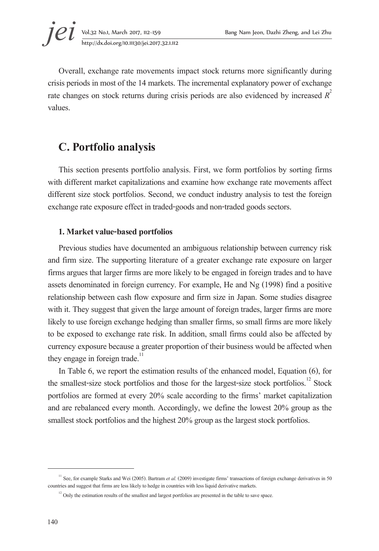**jei** Vol.32 No.1, March 2017, 112–159 Bang Nam Jeon, Dazhi Zheng, and Lei Zhu<br>http://dx.doi.org/10.11130/jei.2017.32.1.112 http://dx.doi.org/10.11130/jei.2017.32.1.112

Overall, exchange rate movements impact stock returns more significantly during crisis periods in most of the 14 markets. The incremental explanatory power of exchange rate changes on stock returns during crisis periods are also evidenced by increased *R* 2 values.

# **C. Portfolio analysis**

This section presents portfolio analysis. First, we form portfolios by sorting firms with different market capitalizations and examine how exchange rate movements affect different size stock portfolios. Second, we conduct industry analysis to test the foreign exchange rate exposure effect in traded-goods and non-traded goods sectors.

### **1. Market value-based portfolios**

Previous studies have documented an ambiguous relationship between currency risk and firm size. The supporting literature of a greater exchange rate exposure on larger firms argues that larger firms are more likely to be engaged in foreign trades and to have assets denominated in foreign currency. For example, He and Ng (1998) find a positive relationship between cash flow exposure and firm size in Japan. Some studies disagree with it. They suggest that given the large amount of foreign trades, larger firms are more likely to use foreign exchange hedging than smaller firms, so small firms are more likely to be exposed to exchange rate risk. In addition, small firms could also be affected by currency exposure because a greater proportion of their business would be affected when they engage in foreign trade. $11$ 

In Table 6, we report the estimation results of the enhanced model, Equation (6), for the smallest-size stock portfolios and those for the largest-size stock portfolios. $12$  Stock portfolios are formed at every 20% scale according to the firms' market capitalization and are rebalanced every month. Accordingly, we define the lowest 20% group as the smallest stock portfolios and the highest 20% group as the largest stock portfolios.

<sup>&</sup>lt;sup>11</sup> See, for example Starks and Wei (2005). Bartram *et al.* (2009) investigate firms' transactions of foreign exchange derivatives in 50 countries and suggest that firms are less likely to hedge in countries with less liquid derivative markets.

 $12$  Only the estimation results of the smallest and largest portfolios are presented in the table to save space.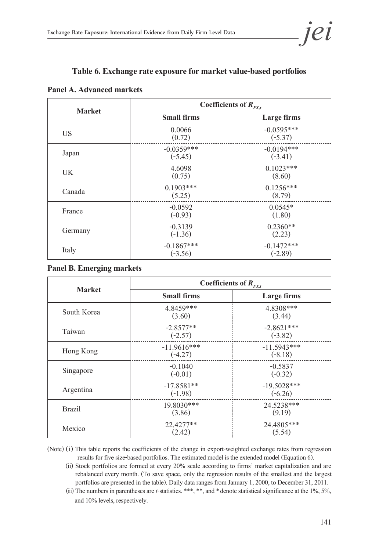

#### **Table 6. Exchange rate exposure for market value-based portfolios**

#### **Panel A. Advanced markets**

| <b>Market</b> |                           | Coefficients of $R_{FX, t}$ |
|---------------|---------------------------|-----------------------------|
|               | <b>Small firms</b>        | Large firms                 |
| US.           | 0.0066<br>(0.72)          | $-0.0595***$<br>$(-5.37)$   |
| Japan         | $-0.0359***$<br>$(-5.45)$ | $-0.0194***$<br>$(-3.41)$   |
| <b>UK</b>     | 4.6098<br>(0.75)          | $0.1023***$<br>(8.60)       |
| Canada        | $0.1903$ ***<br>(5.25)    | $0.1256***$<br>(8.79)       |
| France        | $-0.0592$<br>$(-0.93)$    | $0.0545*$<br>(1.80)         |
| Germany       | $-0.3139$<br>$(-1.36)$    | $0.2360**$<br>(2.23)        |
| Italy         | $-0.1867***$<br>$(-3.56)$ | $-0.1472***$<br>$(-2.89)$   |

#### **Panel B. Emerging markets**

| <b>Market</b> | Coefficients of $R_{F X,t}$ |                            |
|---------------|-----------------------------|----------------------------|
|               | <b>Small firms</b>          | Large firms                |
| South Korea   | 4.8459***<br>(3.60)         | 4.8308***<br>(3.44)        |
| Taiwan        | $-2.8577**$<br>$(-2.57)$    | $-2.8621***$<br>$(-3.82)$  |
| Hong Kong     | $-11.9616***$<br>$(-4.27)$  | $-11.5943***$<br>$(-8.18)$ |
| Singapore     | $-0.1040$<br>$(-0.01)$      | $-0.5837$<br>$(-0.32)$     |
| Argentina     | $-17.8581**$<br>$(-1.98)$   | $-19.5028***$<br>$(-6.26)$ |
| <b>Brazil</b> | 19.8030***<br>(3.86)        | 24.5238***<br>(9.19)       |
| Mexico        | 22.4277**<br>(2.42)         | 24.4805***<br>(5.54)       |

(Note) (i) This table reports the coefficients of the change in export-weighted exchange rates from regression results for five size-based portfolios. The estimated model is the extended model (Equation 6).

(ii) Stock portfolios are formed at every 20% scale according to firms' market capitalization and are rebalanced every month. (To save space, only the regression results of the smallest and the largest portfolios are presented in the table). Daily data ranges from January 1, 2000, to December 31, 2011.

(iii) The numbers in parentheses are *t*-statistics. \*\*\*, \*\*, and \*denote statistical significance at the 1%, 5%, and 10% levels, respectively.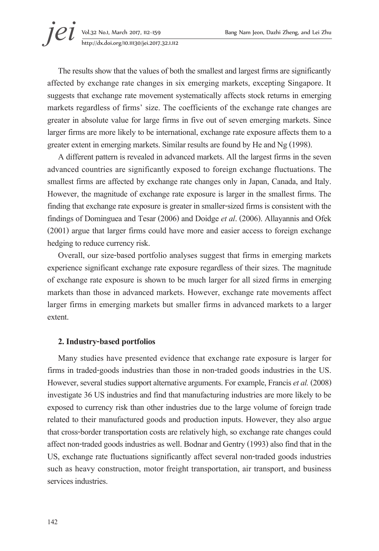The results show that the values of both the smallest and largest firms are significantly affected by exchange rate changes in six emerging markets, excepting Singapore. It suggests that exchange rate movement systematically affects stock returns in emerging markets regardless of firms' size. The coefficients of the exchange rate changes are greater in absolute value for large firms in five out of seven emerging markets. Since larger firms are more likely to be international, exchange rate exposure affects them to a greater extent in emerging markets. Similar results are found by He and Ng (1998).

A different pattern is revealed in advanced markets. All the largest firms in the seven advanced countries are significantly exposed to foreign exchange fluctuations. The smallest firms are affected by exchange rate changes only in Japan, Canada, and Italy. However, the magnitude of exchange rate exposure is larger in the smallest firms. The finding that exchange rate exposure is greater in smaller-sized firms is consistent with the findings of Dominguea and Tesar (2006) and Doidge *et al*. (2006). Allayannis and Ofek (2001) argue that larger firms could have more and easier access to foreign exchange hedging to reduce currency risk.

Overall, our size-based portfolio analyses suggest that firms in emerging markets experience significant exchange rate exposure regardless of their sizes. The magnitude of exchange rate exposure is shown to be much larger for all sized firms in emerging markets than those in advanced markets. However, exchange rate movements affect larger firms in emerging markets but smaller firms in advanced markets to a larger extent.

#### **2. Industry-based portfolios**

Many studies have presented evidence that exchange rate exposure is larger for firms in traded-goods industries than those in non-traded goods industries in the US. However, several studies support alternative arguments. For example, Francis *et al.* (2008) investigate 36 US industries and find that manufacturing industries are more likely to be exposed to currency risk than other industries due to the large volume of foreign trade related to their manufactured goods and production inputs. However, they also argue that cross-border transportation costs are relatively high, so exchange rate changes could affect non-traded goods industries as well. Bodnar and Gentry (1993) also find that in the US, exchange rate fluctuations significantly affect several non-traded goods industries such as heavy construction, motor freight transportation, air transport, and business services industries.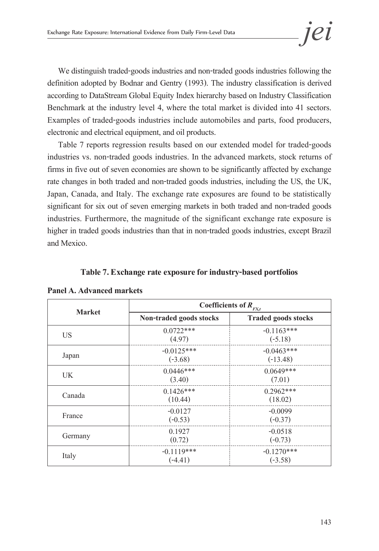We distinguish traded-goods industries and non-traded goods industries following the definition adopted by Bodnar and Gentry (1993). The industry classification is derived according to DataStream Global Equity Index hierarchy based on Industry Classification Benchmark at the industry level 4, where the total market is divided into 41 sectors. Examples of traded-goods industries include automobiles and parts, food producers, electronic and electrical equipment, and oil products.

Table 7 reports regression results based on our extended model for traded-goods industries vs. non-traded goods industries. In the advanced markets, stock returns of firms in five out of seven economies are shown to be significantly affected by exchange rate changes in both traded and non-traded goods industries, including the US, the UK, Japan, Canada, and Italy. The exchange rate exposures are found to be statistically significant for six out of seven emerging markets in both traded and non-traded goods industries. Furthermore, the magnitude of the significant exchange rate exposure is higher in traded goods industries than that in non-traded goods industries, except Brazil and Mexico.

#### **Table 7. Exchange rate exposure for industry-based portfolios**

|               |                           | Coefficients of $R_{FX,t}$ |
|---------------|---------------------------|----------------------------|
| <b>Market</b> | Non-traded goods stocks   | <b>Traded goods stocks</b> |
| US.           | $0.0722***$<br>(4.97)     | $-0.1163***$<br>$(-5.18)$  |
| Japan         | $-0.0125***$<br>$(-3.68)$ | $-0.0463***$<br>$(-13.48)$ |
| <b>UK</b>     | $0.0446***$<br>(3.40)     | $0.0649***$<br>(7.01)      |
| Canada        | $0.1426***$<br>(10.44)    | $0.2962***$<br>(18.02)     |
| France        | $-0.0127$<br>$(-0.53)$    | $-0.0099$<br>$(-0.37)$     |
| Germany       | 0.1927<br>(0.72)          | $-0.0518$<br>$(-0.73)$     |
| Italy         | $-0.1119***$<br>$(-4.41)$ | $-0.1270***$<br>$(-3.58)$  |

**Panel A. Advanced markets**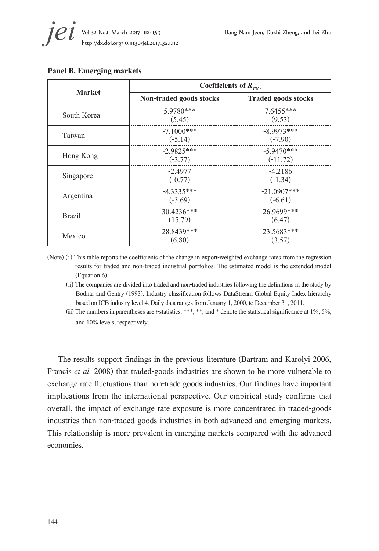

|               | Coefficients of $R_{FX,t}$ |                            |  |  |  |
|---------------|----------------------------|----------------------------|--|--|--|
| <b>Market</b> | Non-traded goods stocks    | <b>Traded goods stocks</b> |  |  |  |
| South Korea   | 5.9780***<br>(5.45)        | 7.6455***<br>(9.53)        |  |  |  |
| Taiwan        | $-7.1000$ ***<br>$(-5.14)$ | $-8.9973***$<br>$(-7.90)$  |  |  |  |
| Hong Kong     | $-2.9825***$<br>$(-3.77)$  | $-5.9470***$<br>$(-11.72)$ |  |  |  |
| Singapore     | $-2.4977$<br>$(-0.77)$     | $-4.2186$<br>$(-1.34)$     |  |  |  |
| Argentina     | $-8.3335***$<br>$(-3.69)$  | $-21.0907***$<br>$(-6.61)$ |  |  |  |
| <b>Brazil</b> | 30.4236***<br>(15.79)      | 26.9699***<br>(6.47)       |  |  |  |
| Mexico        | 28.8439***<br>(6.80)       | 23.5683***<br>(3.57)       |  |  |  |

#### **Panel B. Emerging markets**

(Note) (i) This table reports the coefficients of the change in export-weighted exchange rates from the regression results for traded and non-traded industrial portfolios. The estimated model is the extended model (Equation 6).

(ii) The companies are divided into traded and non-traded industries following the definitions in the study by Bodnar and Gentry (1993). Industry classification follows DataStream Global Equity Index hierarchy based on ICB industry level 4. Daily data ranges from January 1, 2000, to December 31, 2011.

(iii) The numbers in parentheses are *t*-statistics. \*\*\*, \*\*, and \* denote the statistical significance at 1%, 5%, and 10% levels, respectively.

The results support findings in the previous literature (Bartram and Karolyi 2006, Francis *et al.* 2008) that traded-goods industries are shown to be more vulnerable to exchange rate fluctuations than non-trade goods industries. Our findings have important implications from the international perspective. Our empirical study confirms that overall, the impact of exchange rate exposure is more concentrated in traded-goods industries than non-traded goods industries in both advanced and emerging markets. This relationship is more prevalent in emerging markets compared with the advanced economies.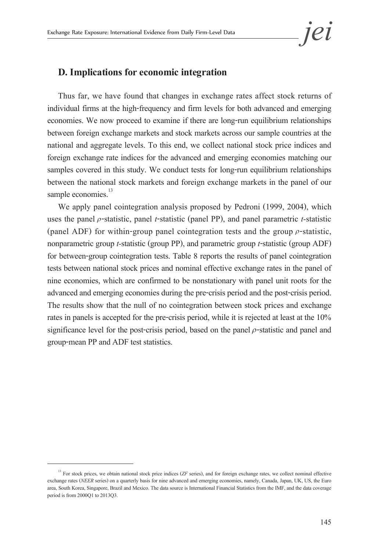### **D. Implications for economic integration**

Thus far, we have found that changes in exchange rates affect stock returns of individual firms at the high-frequency and firm levels for both advanced and emerging economies. We now proceed to examine if there are long-run equilibrium relationships between foreign exchange markets and stock markets across our sample countries at the national and aggregate levels. To this end, we collect national stock price indices and foreign exchange rate indices for the advanced and emerging economies matching our samples covered in this study. We conduct tests for long-run equilibrium relationships between the national stock markets and foreign exchange markets in the panel of our sample economies.<sup>13</sup>

We apply panel cointegration analysis proposed by Pedroni (1999, 2004), which uses the panel ρ-statistic, panel *t*-statistic (panel PP), and panel parametric *t-*statistic (panel ADF) for within-group panel cointegration tests and the group  $\rho$ -statistic, nonparametric group *t-*statistic (group PP), and parametric group *t*-statistic (group ADF) for between-group cointegration tests. Table 8 reports the results of panel cointegration tests between national stock prices and nominal effective exchange rates in the panel of nine economies, which are confirmed to be nonstationary with panel unit roots for the advanced and emerging economies during the pre-crisis period and the post-crisis period. The results show that the null of no cointegration between stock prices and exchange rates in panels is accepted for the pre-crisis period, while it is rejected at least at the 10% significance level for the post-crisis period, based on the panel  $\rho$ -statistic and panel and group-mean PP and ADF test statistics.

<sup>&</sup>lt;sup>13</sup> For stock prices, we obtain national stock price indices (ZF series), and for foreign exchange rates, we collect nominal effective exchange rates (*NEER* series) on a quarterly basis for nine advanced and emerging economies, namely, Canada, Japan, UK, US, the Euro area, South Korea, Singapore, Brazil and Mexico. The data source is International Financial Statistics from the IMF, and the data coverage period is from 2000Q1 to 2013Q3.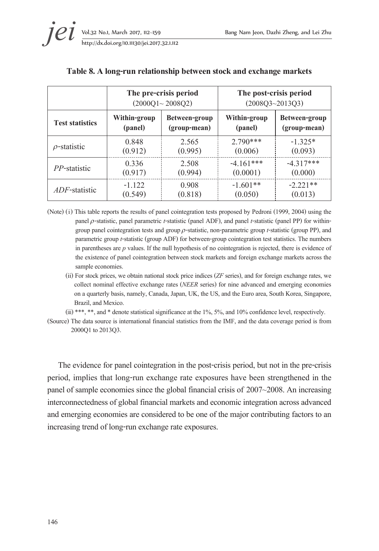|                        |              | The pre-crisis period<br>$(2000Q1 \sim 2008Q2)$ | The post-crisis period<br>$(2008Q3 - 2013Q3)$ |               |
|------------------------|--------------|-------------------------------------------------|-----------------------------------------------|---------------|
| <b>Test statistics</b> | Within-group | Between-group                                   | Within-group                                  | Between-group |
|                        | (panel)      | (group-mean)                                    | (panel)                                       | (group-mean)  |
| $\rho$ -statistic      | 0.848        | 2.565                                           | $2.790***$                                    | $-1.325*$     |
|                        | (0.912)      | (0.995)                                         | (0.006)                                       | (0.093)       |
| <i>PP</i> -statistic   | 0.336        | 2.508                                           | $-4.161***$                                   | $-4.317***$   |
|                        | (0.917)      | (0.994)                                         | (0.0001)                                      | (0.000)       |
| <i>ADF</i> -statistic  | $-1.122$     | 0.908                                           | $-1.601**$                                    | $-2.221**$    |
|                        | (0.549)      | (0.818)                                         | (0.050)                                       | (0.013)       |

#### **Table 8. A long-run relationship between stock and exchange markets**

- (Note) (i) This table reports the results of panel cointegration tests proposed by Pedroni (1999, 2004) using the panel ρ-statistic, panel parametric *t*-statistic (panel ADF), and panel *t*-statistic (panel PP) for withingroup panel cointegration tests and group ρ-statistic, non-parametric group *t*-statistic (group PP), and parametric group *t*-statistic (group ADF) for between-group cointegration test statistics. The numbers in parentheses are *p* values. If the null hypothesis of no cointegration is rejected, there is evidence of the existence of panel cointegration between stock markets and foreign exchange markets across the sample economies.
	- (ii) For stock prices, we obtain national stock price indices (*ZF* series), and for foreign exchange rates, we collect nominal effective exchange rates (*NEER* series) for nine advanced and emerging economies on a quarterly basis, namely, Canada, Japan, UK, the US, and the Euro area, South Korea, Singapore, Brazil, and Mexico.

(iii) \*\*\*, \*\*, and \* denote statistical significance at the  $1\%$ ,  $5\%$ , and  $10\%$  confidence level, respectively.

(Source) The data source is international financial statistics from the IMF, and the data coverage period is from 2000Q1 to 2013Q3.

The evidence for panel cointegration in the post-crisis period, but not in the pre-crisis period, implies that long-run exchange rate exposures have been strengthened in the panel of sample economies since the global financial crisis of 2007~2008. An increasing interconnectedness of global financial markets and economic integration across advanced and emerging economies are considered to be one of the major contributing factors to an increasing trend of long-run exchange rate exposures.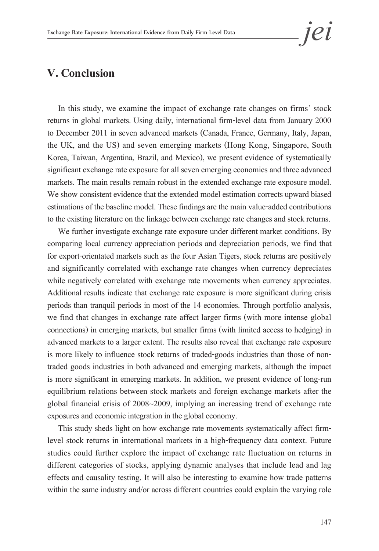# **V. Conclusion**

In this study, we examine the impact of exchange rate changes on firms' stock returns in global markets. Using daily, international firm-level data from January 2000 to December 2011 in seven advanced markets (Canada, France, Germany, Italy, Japan, the UK, and the US) and seven emerging markets (Hong Kong, Singapore, South Korea, Taiwan, Argentina, Brazil, and Mexico), we present evidence of systematically significant exchange rate exposure for all seven emerging economies and three advanced markets. The main results remain robust in the extended exchange rate exposure model. We show consistent evidence that the extended model estimation corrects upward biased estimations of the baseline model. These findings are the main value-added contributions to the existing literature on the linkage between exchange rate changes and stock returns.

We further investigate exchange rate exposure under different market conditions. By comparing local currency appreciation periods and depreciation periods, we find that for export-orientated markets such as the four Asian Tigers, stock returns are positively and significantly correlated with exchange rate changes when currency depreciates while negatively correlated with exchange rate movements when currency appreciates. Additional results indicate that exchange rate exposure is more significant during crisis periods than tranquil periods in most of the 14 economies. Through portfolio analysis, we find that changes in exchange rate affect larger firms (with more intense global connections) in emerging markets, but smaller firms (with limited access to hedging) in advanced markets to a larger extent. The results also reveal that exchange rate exposure is more likely to influence stock returns of traded-goods industries than those of nontraded goods industries in both advanced and emerging markets, although the impact is more significant in emerging markets. In addition, we present evidence of long-run equilibrium relations between stock markets and foreign exchange markets after the global financial crisis of 2008~2009, implying an increasing trend of exchange rate exposures and economic integration in the global economy.

This study sheds light on how exchange rate movements systematically affect firmlevel stock returns in international markets in a high-frequency data context. Future studies could further explore the impact of exchange rate fluctuation on returns in different categories of stocks, applying dynamic analyses that include lead and lag effects and causality testing. It will also be interesting to examine how trade patterns within the same industry and/or across different countries could explain the varying role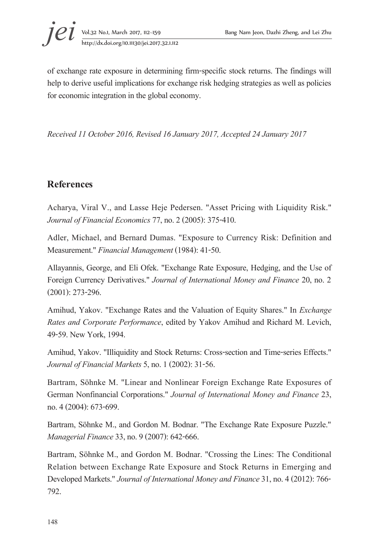of exchange rate exposure in determining firm-specific stock returns. The findings will help to derive useful implications for exchange risk hedging strategies as well as policies for economic integration in the global economy.

*Received 11 October 2016, Revised 16 January 2017, Accepted 24 January 2017*

# **References**

Acharya, Viral V., and Lasse Heje Pedersen. "Asset Pricing with Liquidity Risk." *Journal of Financial Economics* 77, no. 2 (2005): 375-410.

Adler, Michael, and Bernard Dumas. "Exposure to Currency Risk: Definition and Measurement." *Financial Management* (1984): 41-50.

Allayannis, George, and Eli Ofek. "Exchange Rate Exposure, Hedging, and the Use of Foreign Currency Derivatives." *Journal of International Money and Finance* 20, no. 2 (2001): 273-296.

Amihud, Yakov. "Exchange Rates and the Valuation of Equity Shares." In *Exchange Rates and Corporate Performance*, edited by Yakov Amihud and Richard M. Levich, 49-59. New York, 1994.

Amihud, Yakov. "Illiquidity and Stock Returns: Cross-section and Time-series Effects." *Journal of Financial Markets* 5, no. 1 (2002): 31-56.

Bartram, Söhnke M. "Linear and Nonlinear Foreign Exchange Rate Exposures of German Nonfinancial Corporations." *Journal of International Money and Finance* 23, no. 4 (2004): 673-699.

Bartram, Söhnke M., and Gordon M. Bodnar. "The Exchange Rate Exposure Puzzle." *Managerial Finance* 33, no. 9 (2007): 642-666.

Bartram, Söhnke M., and Gordon M. Bodnar. "Crossing the Lines: The Conditional Relation between Exchange Rate Exposure and Stock Returns in Emerging and Developed Markets." *Journal of International Money and Finance* 31, no. 4 (2012): 766- 792.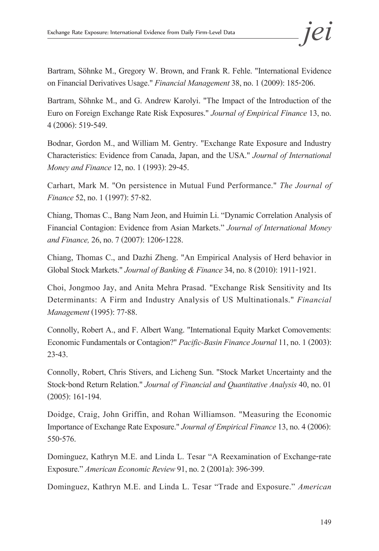Bartram, Söhnke M., Gregory W. Brown, and Frank R. Fehle. "International Evidence on Financial Derivatives Usage." *Financial Management* 38, no. 1 (2009): 185-206.

Bartram, Söhnke M., and G. Andrew Karolyi. "The Impact of the Introduction of the Euro on Foreign Exchange Rate Risk Exposures." *Journal of Empirical Finance* 13, no. 4 (2006): 519-549.

Bodnar, Gordon M., and William M. Gentry. "Exchange Rate Exposure and Industry Characteristics: Evidence from Canada, Japan, and the USA." *Journal of International Money and Finance* 12, no. 1 (1993): 29-45.

Carhart, Mark M. "On persistence in Mutual Fund Performance." *The Journal of Finance* 52, no. 1 (1997): 57-82.

Chiang, Thomas C., Bang Nam Jeon, and Huimin Li. "Dynamic Correlation Analysis of Financial Contagion: Evidence from Asian Markets." *Journal of International Money and Finance,* 26, no. 7 (2007): 1206-1228.

Chiang, Thomas C., and Dazhi Zheng. "An Empirical Analysis of Herd behavior in Global Stock Markets." *Journal of Banking & Finance* 34, no. 8 (2010): 1911-1921.

Choi, Jongmoo Jay, and Anita Mehra Prasad. "Exchange Risk Sensitivity and Its Determinants: A Firm and Industry Analysis of US Multinationals." *Financial Management* (1995): 77-88.

Connolly, Robert A., and F. Albert Wang. "International Equity Market Comovements: Economic Fundamentals or Contagion?" *Pacific-Basin Finance Journal* 11, no. 1 (2003): 23-43.

Connolly, Robert, Chris Stivers, and Licheng Sun. "Stock Market Uncertainty and the Stock-bond Return Relation." *Journal of Financial and Quantitative Analysis* 40, no. 01 (2005): 161-194.

Doidge, Craig, John Griffin, and Rohan Williamson. "Measuring the Economic Importance of Exchange Rate Exposure." *Journal of Empirical Finance* 13, no. 4 (2006): 550-576.

Dominguez, Kathryn M.E. and Linda L. Tesar "A Reexamination of Exchange-rate Exposure." *American Economic Review* 91, no. 2 (2001a): 396-399.

Dominguez, Kathryn M.E. and Linda L. Tesar "Trade and Exposure." *American*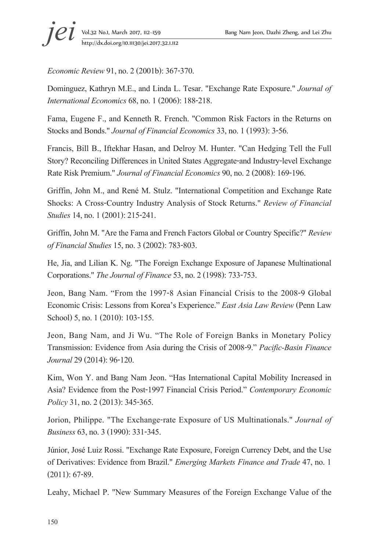*Economic Review* 91, no. 2 (2001b): 367-370.

Dominguez, Kathryn M.E., and Linda L. Tesar. "Exchange Rate Exposure." *Journal of International Economics* 68, no. 1 (2006): 188-218.

Fama, Eugene F., and Kenneth R. French. "Common Risk Factors in the Returns on Stocks and Bonds." *Journal of Financial Economics* 33, no. 1 (1993): 3-56.

Francis, Bill B., Iftekhar Hasan, and Delroy M. Hunter. "Can Hedging Tell the Full Story? Reconciling Differences in United States Aggregate-and Industry-level Exchange Rate Risk Premium." *Journal of Financial Economics* 90, no. 2 (2008): 169-196.

Griffin, John M., and René M. Stulz. "International Competition and Exchange Rate Shocks: A Cross-Country Industry Analysis of Stock Returns." *Review of Financial Studies* 14, no. 1 (2001): 215-241.

Griffin, John M. "Are the Fama and French Factors Global or Country Specific?" *Review of Financial Studies* 15, no. 3 (2002): 783-803.

He, Jia, and Lilian K. Ng. "The Foreign Exchange Exposure of Japanese Multinational Corporations." *The Journal of Finance* 53, no. 2 (1998): 733-753.

Jeon, Bang Nam. "From the 1997-8 Asian Financial Crisis to the 2008-9 Global Economic Crisis: Lessons from Korea's Experience." *East Asia Law Review* (Penn Law School) 5, no. 1 (2010): 103-155.

Jeon, Bang Nam, and Ji Wu. "The Role of Foreign Banks in Monetary Policy Transmission: Evidence from Asia during the Crisis of 2008-9." *Pacific-Basin Finance Journal* 29 (2014): 96-120.

Kim, Won Y. and Bang Nam Jeon. "Has International Capital Mobility Increased in Asia? Evidence from the Post-1997 Financial Crisis Period." *Contemporary Economic Policy* 31, no. 2 (2013): 345-365.

Jorion, Philippe. "The Exchange-rate Exposure of US Multinationals." *Journal of Business* 63, no. 3 (1990): 331-345.

Júnior, José Luiz Rossi. "Exchange Rate Exposure, Foreign Currency Debt, and the Use of Derivatives: Evidence from Brazil." *Emerging Markets Finance and Trade* 47, no. 1 (2011): 67-89.

Leahy, Michael P. "New Summary Measures of the Foreign Exchange Value of the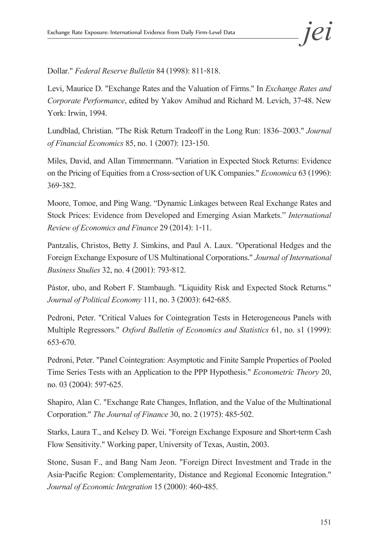Dollar." *Federal Reserve Bulletin* 84 (1998): 811-818.

Levi, Maurice D. "Exchange Rates and the Valuation of Firms." In *Exchange Rates and Corporate Performance*, edited by Yakov Amihud and Richard M. Levich, 37-48. New York: Irwin, 1994.

Lundblad, Christian. "The Risk Return Tradeoff in the Long Run: 1836–2003." *Journal of Financial Economics* 85, no. 1 (2007): 123-150.

Miles, David, and Allan Timmermann. "Variation in Expected Stock Returns: Evidence on the Pricing of Equities from a Cross-section of UK Companies." *Economica* 63 (1996): 369-382.

Moore, Tomoe, and Ping Wang. "Dynamic Linkages between Real Exchange Rates and Stock Prices: Evidence from Developed and Emerging Asian Markets." *International Review of Economics and Finance* 29 (2014): 1-11.

Pantzalis, Christos, Betty J. Simkins, and Paul A. Laux. "Operational Hedges and the Foreign Exchange Exposure of US Multinational Corporations." *Journal of International Business Studies* 32, no. 4 (2001): 793-812.

Pástor, ubo, and Robert F. Stambaugh. "Liquidity Risk and Expected Stock Returns." *Journal of Political Economy* 111, no. 3 (2003): 642-685.

Pedroni, Peter. "Critical Values for Cointegration Tests in Heterogeneous Panels with Multiple Regressors." *Oxford Bulletin of Economics and Statistics* 61, no. s1 (1999): 653-670.

Pedroni, Peter. "Panel Cointegration: Asymptotic and Finite Sample Properties of Pooled Time Series Tests with an Application to the PPP Hypothesis." *Econometric Theory* 20, no. 03 (2004): 597-625.

Shapiro, Alan C. "Exchange Rate Changes, Inflation, and the Value of the Multinational Corporation." *The Journal of Finance* 30, no. 2 (1975): 485-502.

Starks, Laura T., and Kelsey D. Wei. "Foreign Exchange Exposure and Short-term Cash Flow Sensitivity." Working paper, University of Texas, Austin, 2003.

Stone, Susan F., and Bang Nam Jeon. "Foreign Direct Investment and Trade in the Asia-Pacific Region: Complementarity, Distance and Regional Economic Integration." *Journal of Economic Integration* 15 (2000): 460-485.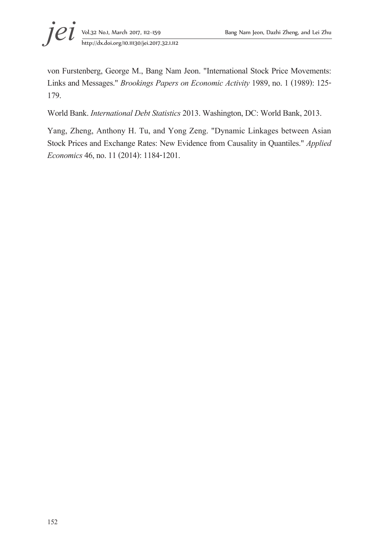

von Furstenberg, George M., Bang Nam Jeon. "International Stock Price Movements: Links and Messages." *Brookings Papers on Economic Activity* 1989, no. 1 (1989): 125- 179.

World Bank. *International Debt Statistics* 2013. Washington, DC: World Bank, 2013.

Yang, Zheng, Anthony H. Tu, and Yong Zeng. "Dynamic Linkages between Asian Stock Prices and Exchange Rates: New Evidence from Causality in Quantiles." *Applied Economics* 46, no. 11 (2014): 1184-1201.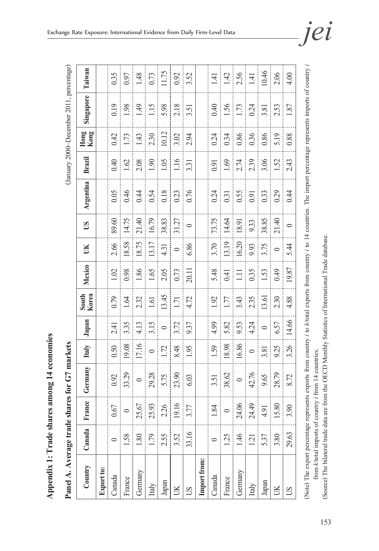| $\sim$ $\sim$ $\sim$ $\sim$ $\sim$ |
|------------------------------------|
|                                    |
| Change Change<br>D                 |
| C la G secon<br>I                  |
| C<br>C<br>C<br>C<br>C<br>ľ         |
|                                    |
| $\frac{1}{2}$<br>ていたいかい            |

Panel A. Average trade shares for G7 markets

(January 2000~December 2011, percentage) **Panel A. Average trade shares for G7 markets C7 markets** (January 2000~December 2011, percentage)

| Country                                                                                                                                                                             | Canada | France  | Germany | Italy   | Japan   | South<br>Korea | Mexico | UK      | $\mathbf{S}$ | Argentina | Brazil | Kong<br>Hong | Singapore | Taiwan |
|-------------------------------------------------------------------------------------------------------------------------------------------------------------------------------------|--------|---------|---------|---------|---------|----------------|--------|---------|--------------|-----------|--------|--------------|-----------|--------|
| Export to:                                                                                                                                                                          |        |         |         |         |         |                |        |         |              |           |        |              |           |        |
| Canada                                                                                                                                                                              |        | 0.67    | 0.92    | 0.50    | 2.41    | 0.79           | 1.02   | 2.66    | 89.60        | 0.05      | 0.40   | 0.42         | 0.19      | 0.35   |
| France                                                                                                                                                                              | 1.58   |         | 33.29   | 19.08   | 3.35    | 1.64           | 0.98   | 18.58   | 14.75        | 0.46      | 1.62   | 1.73         | 1.98      | 1.97   |
| Germany                                                                                                                                                                             | 1.80   | 25.67   | $\circ$ | 17.16   | 4.13    | 2.32           | 1.86   | 18.75   | 21.40        | 0.44      | 2.08   | 1.43         | 49        | 1.48   |
| Italy                                                                                                                                                                               | 1.79   | 25.93   | 29.28   | $\circ$ | 3.15    | 1.61           | 1.65   | 13.17   | 16.79        | 0.54      | 1.90   | 2.30         | 115       | 0.73   |
| ${\it Japan}$                                                                                                                                                                       | 2.55   | 2.26    | 5.75    | 1.72    | $\circ$ | 13.45          | 2.05   | 4.31    | 38.83        | 0.18      | 1.05   | 10.12        | 5.98      | 11.75  |
| $\mathbb R$                                                                                                                                                                         | 3.52   | 19.16   | 23.90   | 8.48    | 3.72    | 1.71           | 0.73   | $\circ$ | 31.27        | 0.23      | 01.1   | 3.02         | 2.18      | 0.92   |
| $\sum$                                                                                                                                                                              | 33.16  | 3.77    | 6.03    | 1.95    | 9.37    | 4.72           | 20.11  | 6.86    | $\bullet$    | 0.76      | 3.31   | 2.94         | 3.51      | 3.52   |
| Import from:                                                                                                                                                                        |        |         |         |         |         |                |        |         |              |           |        |              |           |        |
| Canada                                                                                                                                                                              |        | 1.84    | 3.51    | 1.59    | 4.99    | 1.92           | 5.48   | 3.70    | 73.75        | 0.24      | 0.91   | 0.24         | 0.40      | 1.41   |
| France                                                                                                                                                                              | 1.25   | $\circ$ | 38.62   | 18.98   | 5.82    | 1.77           | 0.41   | 13.19   | 14.64        | 0.31      | 1.69   | 0.34         | 1.56      | 1.42   |
| Germany                                                                                                                                                                             | 1.46   | 24.06   | $\circ$ | 16.86   | 9.53    | 3.43           | $\Xi$  | 16.20   | 18.91        | 0.55      | 2.74   | 0.86         | 1.73      | 2.56   |
| Italy                                                                                                                                                                               | 1.21   | 24.49   | 42.76   | $\circ$ | 4.24    | 2.35           | 0.35   | 9.93    | 9.33         | 0.91      | 2.39   | 0.36         | 0.24      | 1.41   |
| Japan                                                                                                                                                                               | 5.37   | 4.91    | 9.65    | 3.81    | $\circ$ | 13.61          | 1.53   | 3.75    | 38.85        | 0.33      | 3.06   | 0.86         | 3.81      | 10.46  |
| UK                                                                                                                                                                                  | 3.80   | 15.80   | 28.79   | 9.25    | 6.57    | 2.30           | 0.49   | $\circ$ | 21.40        | 0.29      | 1.52   | 5.19         | 2.53      | 2.06   |
| SQ                                                                                                                                                                                  | 29.63  | 3.90    | 8.72    | 3.26    | 14.66   | 4.88           | 19.87  | 5.44    | $\circ$      | 0.44      | 2.43   | 0.88         | 1.87      | 4.00   |
| (Note) The export percentage represents exports from country <i>i</i> to k/total exports from country <i>i</i> to 14 countries. The import percentage represents imports of country |        |         |         |         |         |                |        |         |              |           |        |              |           |        |

from *k*/total imports of country *i* from 14 countries.

from k/total imports of country i from 14 countries.

(Source) The bilateral trade data are from the OECD Monthly Statistics of International Trade database.

(Source) The bilateral trade data are from the OECD Monthly Statistics of International Trade database.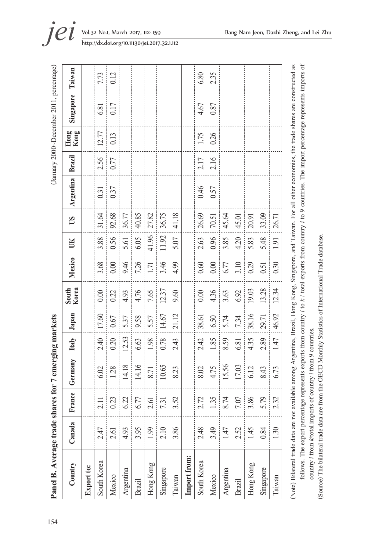| Country       | Canada         | France                            | Germany | Italy | Japan | Korea<br>South | Mexico | UK    | $\overline{S}$ | <b>Argentina</b> | Brazil | Kong<br>Hong | Singapore | Taiwan |
|---------------|----------------|-----------------------------------|---------|-------|-------|----------------|--------|-------|----------------|------------------|--------|--------------|-----------|--------|
| Export to:    |                |                                   |         |       |       |                |        |       |                |                  |        |              |           |        |
| South Korea   | 2.47           | 2.11                              | 6.02    | 2.40  | 17.60 | 0.00           | 3.68   | 3.88  | 31.64          | 0.31             | 2.56   | 12.77        | 6.81      | 7.73   |
| Mexico        | 2.61           | $\ddot{c}$<br>$\circ$             | 1.28    | 0.20  | 0.67  | 0.22           | 0.00   | 0.56  | 92.68          | 0.37             | 0.77   | 0.13         | 0.17      | 0.12   |
| Argentina     | 4.93           | Sj.<br>ļ<br>ن<br>پ                | 14.18   | 12.53 | 5.37  | 4.93           | 9.46   | 5.61  | 36.77          |                  |        |              |           |        |
| <b>Brazil</b> | 3.95           | 77<br>ن<br>پ                      | 14.16   | 6.63  | 9.58  | 4.76           | 7.26   | 6.05  | 40.85          |                  |        |              |           |        |
| Hong Kong     | 1.99           | 2.61                              | 8.71    | 1.98  | 5.57  | 7.65           | 1.71   | 41.96 | 27.82          |                  |        |              |           |        |
| Singapore     | 2.10           | $\overline{31}$<br>$\overline{ }$ | 10.65   | 0.78  | 14.67 | 12.37          | 3.46   | 11.92 | 36.75          |                  |        |              |           |        |
| Taiwan        | 3.86           | 52<br>3                           | 8.23    | 2.43  | 21.12 | 9.60           | 4.99   | 5.07  | 41.18          |                  |        |              |           |        |
| Import from:  |                |                                   |         |       |       |                |        |       |                |                  |        |              |           |        |
| South Korea   | 2.48           | Ľ.<br>$\mathbf 2$                 | 8.02    | 2.42  | 38.61 | 0.00           | 0.60   | 2.63  | 26.69          | 0.46             | 2.17   | 1.75         | 4.67      | 6.80   |
| Mexico        | 3.49           | 35                                | 4.75    | 1.85  | 6.50  | 4.36           | 0.00   | 0.96  | 70.51          | 0.57             | 2.16   | 0.26         | 0.87      | 2.35   |
| Argentina     | 1.47           | $\overline{7}$<br>$\infty$        | 15.56   | 8.59  | 5.74  | 3.63           | 6.77   | 3.85  | 45.64          |                  |        |              |           |        |
| Brazil        | 2.52           | $\ddot{0}$<br>L                   | 17.03   | 6.81  | 7.34  | 6.92           | 3.10   | 4.20  | 45.01          |                  |        |              |           |        |
| Hong Kong     | 1.45           | 86.<br>$\sim$                     | 6.12    | 4.35  | 38.16 | 19.03          | 0.29   | 5.83  | 20.91          |                  |        |              |           |        |
| Singapore     | 0.84           | 79<br>5                           | 8.43    | 2.89  | 29.71 | 13.28          | 0.51   | 5.48  | 33.09          |                  |        |              |           |        |
| Taiwan        | $\overline{0}$ | 2.32                              | 6.73    | 1.47  | 46.92 | 12.34          | 0.30   | 1.91  | 26.71          |                  |        |              |           |        |

follows. The export percentage represents exports from country *i* to k / total exports from country *i* to 9 countries. The import percentage represents imports of follows. The export percentage represents exports from country *i* to *k* / total exports from country *i* to 9 countries. The import percentage represents imports of (Source) The bilateral trade data are from the OECD Monthly Statistics of International Trade database. (Source) The bilateral trade data are from the OECD Monthly Statistics of International Trade database.country i from k/total imports of country i from 9 countries. country *i* from *k*/total imports of country *i* from 9 countries.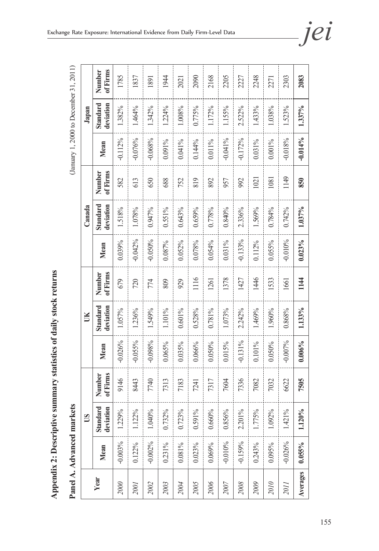**Appendix 2: Descriptive summary statistics of daily stock returns**

Appendix 2: Descriptive summary statistics of daily stock returns

|          |            | Panel A. Advanced markets |                    |            |                       |                    |           |                       |                    |            | (January 1, 2000 to December 31, 2011) |                    |
|----------|------------|---------------------------|--------------------|------------|-----------------------|--------------------|-----------|-----------------------|--------------------|------------|----------------------------------------|--------------------|
|          |            | <b>CO</b>                 |                    |            | UК                    |                    |           | Canada                |                    |            | Japan                                  |                    |
| Year     | Mean       | deviation<br>Standard     | of Firms<br>Number | Mean       | deviation<br>Standard | of Firms<br>Number | Mean      | Standard<br>deviation | of Firms<br>Number | Mean       | Standard<br>deviation                  | of Firms<br>Number |
| 2000     | $-0.003%$  | 1.229%                    | 9146               | $-0.026%$  | 1.057%                | 679                | 0.039%    | 1.518%                | 582                | $-0.112%$  | 1.382%                                 | 1785               |
| 2001     | 0.122%     | 1.122%                    | 8443               | $-0.055%$  | 1.236%                | 720                | $-0.042%$ | 1.078%                | 613                | $-0.076%$  | 1.464%                                 | 1837               |
| 2002     | $-0.002%$  | 1.040%                    | 7740               | $-0.098%$  | 1.549%                | 774                | $-0.050%$ | 0.947%                | 650                | $-0.068%$  | 1.342%                                 | 1891               |
| 2003     | $0.231\%$  | 0.732%                    | 7313               | 0.065%     | 1.101%                | 809                | 0.087%    | $0.551\%$             | 688                | $0.091\%$  | 1.224%                                 | 1944               |
| 2004     | $0.081\%$  | 0.723%                    | 7183               | 0.035%     | 0.601%                | 929                | 0.052%    | 0.643%                | 752                | 0.041%     | 1.008%                                 | 2021               |
| 2005     | 0.023%     | $0.591\%$                 | 7241               | 0.066%     | 0.528%                | 1116               | 0.078%    | 0.659%                | 819                | 0.144%     | 0.775%                                 | 2090               |
| 2006     | 0.069%     | 0.660%                    | 7317               | $0.050\%$  | 0.781%                | 1261               | 0.054%    | 0.778%                | 892                | 0.011%     | 1.172%                                 | 2168               |
| 2007     | $-0.010\%$ | 0.856%                    | 7604               | 0.015%     | 1.073%                | 1378               | $0.031\%$ | 0.840%                | 957                | $-0.041\%$ | 1.155%                                 | 2205               |
| 2008     | $-0.159%$  | 2.201%                    | 7336               | $-0.131\%$ | 2.242%                | 1427               | $-0.133%$ | 2.336%                | 992                | $-0.172%$  | 2.522%                                 | 227                |
| 2009     | 0.243%     | 1.775%                    | 7082               | $0.101\%$  | 1.469%                | 1446               | 0.112%    | 1.569%                | 1021               | $0.031\%$  | 1.433%                                 | 2248               |
| 2010     | 0.095%     | 1.092%                    | 7032               | $0.050\%$  | 1.960%                | 1533               | 0.055%    | 0.784%                | 1081               | 0.001%     | 1.038%                                 | 2271               |
| 2011     | $-0.026%$  | 1.421%                    | 6622               | $-0.007%$  | 0.868%                | 1661               | $-0.010%$ | 0.742%                | 1149               | $-0.018%$  | 1.523%                                 | 2303               |
| Averages | $0.055\%$  | 1.120%                    | 7505               | 0.006%     | 1.133%                | 1144               | $0.023\%$ | 1.037%                | 850                | $-0.014\%$ | 1.337%                                 | 2083               |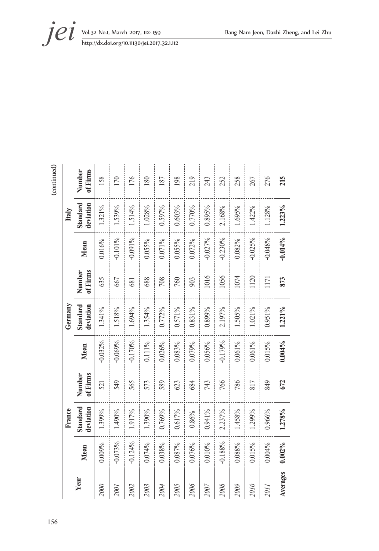**jei** Vol.32 No.1, March 2017, 112–159 Bang Nam Jeon, Dazhi Zheng, and Lei Zhu http://dx.doi.org/10.11130/jei.2017.32.1.112

| Year |           | France                |                    |           | Germany               |                    |            | Italy                 |                    |
|------|-----------|-----------------------|--------------------|-----------|-----------------------|--------------------|------------|-----------------------|--------------------|
|      | Mean      | Standard<br>deviation | of Firms<br>Number | Mean      | Standard<br>deviation | of Firms<br>Number | Mean       | Standard<br>deviation | of Firms<br>Number |
|      | 0.009%    | 1.399%                | 521                | $-0.032%$ | 1.341%                | 635                | 0.016%     | 1.321%                | 158                |
|      | $-0.073%$ | 1.490%                | 549                | $-0.069%$ | 1.518%                | 667                | $-0.101\%$ | 1.539%                | 170                |
|      | $-0.124%$ | 1.917%                | 565                | $-0.170%$ | 1.694%                | 681                | $-0.091\%$ | 1.514%                | 176                |
|      | 0.074%    | 1.390%                | 573                | 0.111%    | 1.354%                | 688                | 0.055%     | 1.028%                | 180                |
|      | 0.038%    | 0.769%                | 589                | 0.026%    | 0.772%                | 708                | 0.071%     | 0.597%                | 187                |
|      | 0.087%    | 0.617%                | 623                | 0.083%    | 0.571%                | 760                | 0.055%     | 0.603%                | 198                |
|      | 0.076%    | 0.86%                 | 684                | 0.079%    | 0.831%                | 903                | 0.072%     | 0.770%                | 219                |
|      | 0.010%    | 0.941%                | 743                | 0.056%    | 0.899%                | 1016               | $-0.027%$  | 0.895%                | 243                |
|      | $-0.188%$ | 2.237%                | 766                | $-0.179%$ | 2.197%                | 1056               | $-0.230%$  | 2.168%                | 252                |
|      | 0.088%    | 1.458%                | 786                | $0.061\%$ | 1.505%                | 1074               | 0.082%     | 1.695%                | 258                |
|      | 0.015%    | 1.299%                | 817                | $0.061\%$ | 1.021%                | 1120               | $-0.025%$  | 1.422%                | 267                |
|      | 0.004%    | 0.966%                | 849                | 0.015%    | 0.951%                | 1171               | $-0.048%$  | 1.128%                | 276                |
|      | $0.002\%$ | 1.278%                | 672                | $0.004\%$ | 1.221%                | 873                | $-0.014%$  | 1.223%                | 215                |

 $\left(\textrm{continued}\right)$ 156 (continued)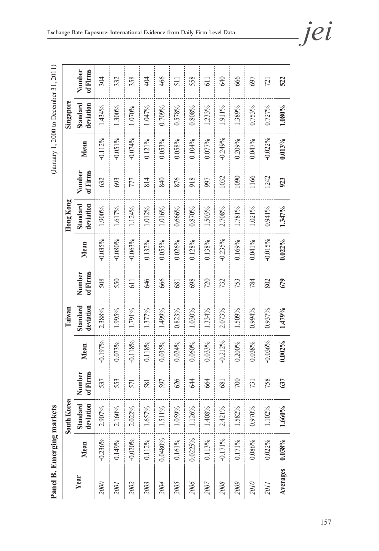(January 1, 2000 to December 31, 2011) **Panel B. Emerging markets** (January 1, 2000 to December 31, 2011)

Panel B. Emerging markets

|          |            | $\mathbf{a}$<br>South Kor |                    |           | Taiwan                |                    |           | Hong Kong             |                    |            | Singapore             |                    |
|----------|------------|---------------------------|--------------------|-----------|-----------------------|--------------------|-----------|-----------------------|--------------------|------------|-----------------------|--------------------|
| Year     | Mean       | Standard<br>deviation     | of Firms<br>Number | Mean      | Standard<br>deviation | of Firms<br>Number | Mean      | Standard<br>deviation | of Firms<br>Number | Mean       | Standard<br>deviation | Number<br>of Firms |
| 2000     | $-0.236%$  | 2.907%                    | 537                | $-0.197%$ | 2.388%                | 508                | $-0.035%$ | 1.900%                | 632                | $-0.112%$  | 1.434%                | 304                |
| 2001     | 0.149%     | 2.160%                    | 553                | 0.073%    | 1.995%                | 550                | $-0.080%$ | 1.617%                | 693                | $-0.051\%$ | 1.300%                | 332                |
| 2002     | $-0.020%$  | 2.022%                    | 571                | $-0.118%$ | 1.791%                | 61                 | $-0.063%$ | 1.124%                | 777                | $-0.074%$  | 1.070%                | 358                |
| 2003     | 0.112%     | 1.657%                    | 581                | 0.118%    | 1.377%                | 646                | 0.132%    | 1.012%                | 814                | $0.121\%$  | 1.047%                | 404                |
| 2004     | 0.0480%    | 1.511%                    | 597                | 0.035%    | 1.499%                | 666                | 0.055%    | 1.016%                | 840                | 0.053%     | 0.709%                | 466                |
| 2005     | $0.161\%$  | 1.059%                    | 626                | 0.024%    | 0.823%                | 681                | 0.026%    | $0.666\%$             | 876                | 0.058%     | 0.578%                | 511                |
| 2006     | 0.0225%    | 1.126%                    | 644                | 0.060%    | 1.030%                | 698                | 0.128%    | 0.870%                | 918                | 0.104%     | 0.808%                | 558                |
| 2007     | $0.113\%$  | 1.408%                    | 664                | 0.033%    | 1.334%                | 720                | 0.138%    | 1.503%                | 997                | 0.077%     | 1.233%                | $\overline{11}$    |
| 2008     | $-0.171\%$ | 2.421%                    | 681                | $-0.212%$ | 2.073%                | 732                | $-0.235%$ | 2.708%                | 1032               | $-0.249%$  | 1.911%                | 640                |
| 2009     | $0.171\%$  | 1.582%                    | $\approx$          | 0.200%    | 1.509%                | 753                | 0.169%    | 1.781%                | 1090               | 0.209%     | 1.389%                | 666                |
| 2010     | 0.086%     | 0.970%                    | 731                | 0.038%    | 0.994%                | 784                | 0.041%    | 1.021%                | 1166               | 0.047%     | 0.753%                | 697                |
| 2011     | 0.022%     | $1.102\%$                 | 758                | $-0.036%$ | 0.937%                | 802                | $-0.015%$ | 0.941%                | 1242               | $-0.022%$  | 0.727%                | 721                |
| Averages | $0.038\%$  | 1.660%                    | 637                | 0.002%    | 1.479%                | 679                | 0.022%    | 1.347%                | 923                | $0.013\%$  | 1.080%                | 522                |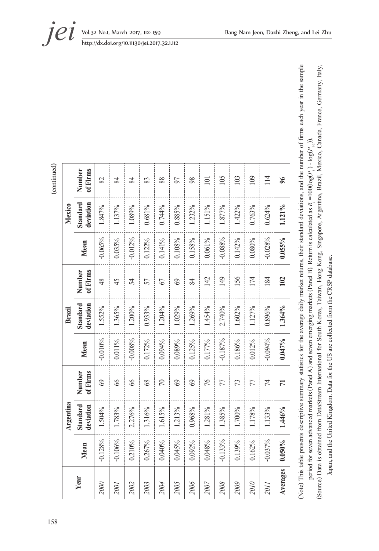|           | Argentina             |                    |           | Brazil                |                          |           | Mexico                |                    |
|-----------|-----------------------|--------------------|-----------|-----------------------|--------------------------|-----------|-----------------------|--------------------|
| Mean      | Standard<br>deviation | of Firms<br>Number | Mean      | Standard<br>deviation | of Firms<br>Number       | Mean      | deviation<br>Standard | of Firms<br>Number |
| $-0.128%$ | 1.504%                | $\circledcirc$     | $-0.010%$ | 1.552%                | $\frac{8}{3}$            | $-0.065%$ | 1.847%                | 82                 |
| $-0.106%$ | 1.783%                | 8                  | 0.011%    | 1.365%                | 45                       | 0.035%    | 1.137%                | 84                 |
| 0.210%    | 2.276%                | 8                  | $-0.008%$ | 1.200%                | 54                       | $-0.012%$ | 1.089%                | 84                 |
| 0.267%    | 1.316%                | $\frac{8}{3}$      | 0.172%    | 0.933%                | 57                       | 0.122%    | 0.681%                | 83                 |
| 0.040%    | 1.615%                | $\approx$          | 0.094%    | 1.204%                | 67                       | $0.141\%$ | 0.744%                | 88                 |
| 0.045%    | 1.213%                | $\circ$            | 0.089%    | 1.029%                | $\mathcal{S}$            | 0.108%    | 0.885%                | 57                 |
| 0.092%    | 0.968%                | $\circ$            | 0.125%    | 1.269%                | 84                       | 0.158%    | 1.232%                | $\frac{8}{3}$      |
| 0.048%    | 1.281%                | 97                 | 0.177%    | 1.454%                | 142                      | 0.061%    | 1.151%                | $\Xi$              |
| $-0.133%$ | 1.385%                | 77                 | $-0.187%$ | 2.740%                | 149                      | $-0.088%$ | 1.877%                | 105                |
| 0.139%    | 1.700%                | 73                 | 0.186%    | 1.602%                | 156                      | 0.142%    | 1.422%                | 103                |
| 0.162%    | 1.178%                | 77                 | 0.012%    | 1.127%                | 174                      | 0.080%    | 0.763%                | 109                |
| $-0.037%$ | 1.133%                | 74                 | $-0.094%$ | 0.896%                | $\overline{\mathscr{E}}$ | $-0.028%$ | 0.624%                | 114                |
| $0.050\%$ | 1.446%                | $\overline{7}$     | 0.047%    | 1.364%                | 102                      | 0.055%    | 1.121%                | $\frac{8}{2}$      |

(continued) 158 (continued) (Note) This table presents descriptive summary statistics for the average daily market returns, their standard deviations, and the number of firms each year in the sample (Note) This table presents descriptive summary statistics for the average daily market returns, their standard deviations, and the number of firms each year in the sample (Source) Data is obtained from DataStream International for South Korea, Taiwan, Hong Kong, Singapore, Argentina, Brazil, Mexico, Canada, France, Germany, Italy, (Source) Data is obtained from DataStream International for South Korea, Taiwan, Hong Kong, Singapore, Argentina, Brazil, Mexico, Canada, France, Germany, Italy, period for seven advanced markets (Panel A) and seven emerging markets (Panel B). Return is calculated as  $R_i = 100(\log(P_i) - \log(P_{i_i}))$ . period for seven advanced markets (Panel A) and seven emerging markets (Panel B). Return is calculated as *Rt*=100(log(*Pt* ) - log(*Pt-*1)).

Japan, and the United Kingdom. Data for the US are collected from the CRSP database.

Japan, and the United Kingdom. Data for the US are collected from the CRSP database.